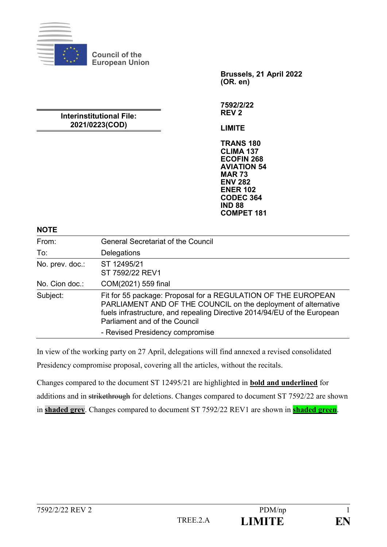

**Council of the European Union**

> **Brussels, 21 April 2022 (OR. en)**

#### **Interinstitutional File: 2021/0223(COD)**

**7592/2/22 REV 2**

**LIMITE**

**TRANS 180 CLIMA 137 ECOFIN 268 AVIATION 54 MAR 73 ENV 282 ENER 102 CODEC 364 IND 88 COMPET 181**

#### **NOTE**

| " ''            |                                                                                                                                                                                                                                              |  |
|-----------------|----------------------------------------------------------------------------------------------------------------------------------------------------------------------------------------------------------------------------------------------|--|
| From:           | <b>General Secretariat of the Council</b>                                                                                                                                                                                                    |  |
| To:             | Delegations                                                                                                                                                                                                                                  |  |
| No. prev. doc.: | ST 12495/21<br>ST 7592/22 REV1                                                                                                                                                                                                               |  |
| No. Cion doc.:  | COM(2021) 559 final                                                                                                                                                                                                                          |  |
| Subject:        | Fit for 55 package: Proposal for a REGULATION OF THE EUROPEAN<br>PARLIAMENT AND OF THE COUNCIL on the deployment of alternative<br>fuels infrastructure, and repealing Directive 2014/94/EU of the European<br>Parliament and of the Council |  |
|                 | - Revised Presidency compromise                                                                                                                                                                                                              |  |

In view of the working party on 27 April, delegations will find annexed a revised consolidated Presidency compromise proposal, covering all the articles, without the recitals.

Changes compared to the document ST 12495/21 are highlighted in **bold and underlined** for additions and in strikethrough for deletions. Changes compared to document ST 7592/22 are shown in **shaded grey**. Changes compared to document ST 7592/22 REV1 are shown in **shaded green**.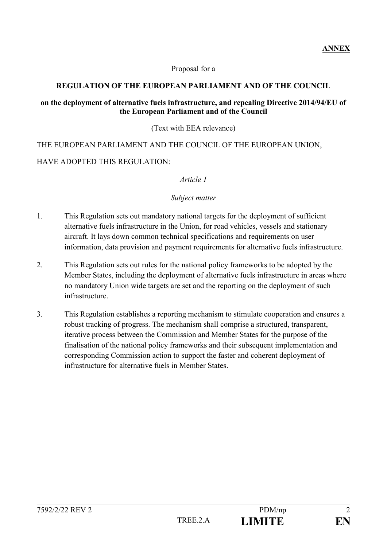Proposal for a

#### **REGULATION OF THE EUROPEAN PARLIAMENT AND OF THE COUNCIL**

#### **on the deployment of alternative fuels infrastructure, and repealing Directive 2014/94/EU of the European Parliament and of the Council**

(Text with EEA relevance)

THE EUROPEAN PARLIAMENT AND THE COUNCIL OF THE EUROPEAN UNION, HAVE ADOPTED THIS REGULATION:

#### *Article 1*

#### *Subject matter*

- 1. This Regulation sets out mandatory national targets for the deployment of sufficient alternative fuels infrastructure in the Union, for road vehicles, vessels and stationary aircraft. It lays down common technical specifications and requirements on user information, data provision and payment requirements for alternative fuels infrastructure.
- 2. This Regulation sets out rules for the national policy frameworks to be adopted by the Member States, including the deployment of alternative fuels infrastructure in areas where no mandatory Union wide targets are set and the reporting on the deployment of such infrastructure.
- 3. This Regulation establishes a reporting mechanism to stimulate cooperation and ensures a robust tracking of progress. The mechanism shall comprise a structured, transparent, iterative process between the Commission and Member States for the purpose of the finalisation of the national policy frameworks and their subsequent implementation and corresponding Commission action to support the faster and coherent deployment of infrastructure for alternative fuels in Member States.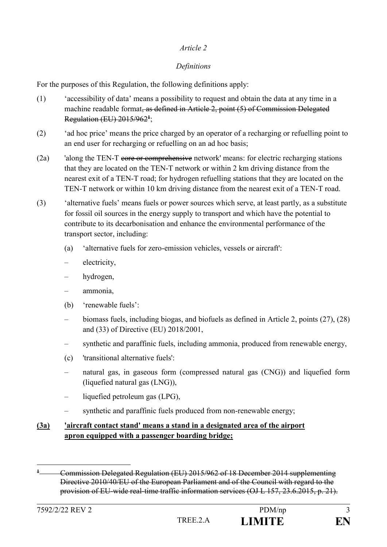### *Definitions*

For the purposes of this Regulation, the following definitions apply:

- (1) 'accessibility of data' means a possibility to request and obtain the data at any time in a machine readable format, as defined in Article 2, point (5) of Commission Delegated Regulation (EU) 2015/962**<sup>1</sup>** ;
- (2) 'ad hoc price' means the price charged by an operator of a recharging or refuelling point to an end user for recharging or refuelling on an ad hoc basis;
- (2a) 'along the TEN-T core or comprehensive network' means: for electric recharging stations that they are located on the TEN-T network or within 2 km driving distance from the nearest exit of a TEN-T road; for hydrogen refuelling stations that they are located on the TEN-T network or within 10 km driving distance from the nearest exit of a TEN-T road.
- (3) 'alternative fuels' means fuels or power sources which serve, at least partly, as a substitute for fossil oil sources in the energy supply to transport and which have the potential to contribute to its decarbonisation and enhance the environmental performance of the transport sector, including:
	- (a) 'alternative fuels for zero-emission vehicles, vessels or aircraft':
	- electricity,
	- hydrogen,
	- ammonia,
	- (b) 'renewable fuels':
	- biomass fuels, including biogas, and biofuels as defined in Article 2, points (27), (28) and (33) of Directive (EU) 2018/2001,
	- synthetic and paraffinic fuels, including ammonia, produced from renewable energy,
	- (c) 'transitional alternative fuels':
	- natural gas, in gaseous form (compressed natural gas (CNG)) and liquefied form (liquefied natural gas (LNG)),
	- liquefied petroleum gas (LPG),
	- synthetic and paraffinic fuels produced from non-renewable energy;

## **(3a) 'aircraft contact stand' means a stand in a designated area of the airport apron equipped with a passenger boarding bridge;**

<sup>1</sup> **<sup>1</sup>** Commission Delegated Regulation (EU) 2015/962 of 18 December 2014 supplementing Directive 2010/40/EU of the European Parliament and of the Council with regard to the provision of EU-wide real-time traffic information services (OJ L 157, 23.6.2015, p. 21).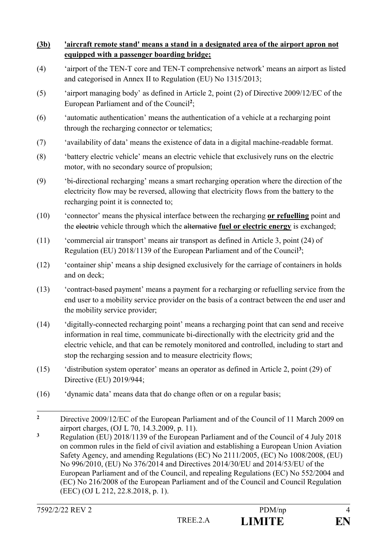### **(3b) 'aircraft remote stand' means a stand in a designated area of the airport apron not equipped with a passenger boarding bridge;**

- (4) 'airport of the TEN-T core and TEN-T comprehensive network' means an airport as listed and categorised in Annex II to Regulation (EU) No 1315/2013;
- (5) 'airport managing body' as defined in Article 2, point (2) of Directive 2009/12/EC of the European Parliament and of the Council**<sup>2</sup>** ;
- (6) 'automatic authentication' means the authentication of a vehicle at a recharging point through the recharging connector or telematics;
- (7) 'availability of data' means the existence of data in a digital machine-readable format.
- (8) 'battery electric vehicle' means an electric vehicle that exclusively runs on the electric motor, with no secondary source of propulsion;
- (9) 'bi-directional recharging' means a smart recharging operation where the direction of the electricity flow may be reversed, allowing that electricity flows from the battery to the recharging point it is connected to;
- (10) 'connector' means the physical interface between the recharging **or refuelling** point and the electric vehicle through which the alternative **fuel or electric energy** is exchanged;
- (11) 'commercial air transport' means air transport as defined in Article 3, point (24) of Regulation (EU) 2018/1139 of the European Parliament and of the Council**<sup>3</sup>** ;
- (12) 'container ship' means a ship designed exclusively for the carriage of containers in holds and on deck;
- (13) 'contract-based payment' means a payment for a recharging or refuelling service from the end user to a mobility service provider on the basis of a contract between the end user and the mobility service provider;
- (14) 'digitally-connected recharging point' means a recharging point that can send and receive information in real time, communicate bi-directionally with the electricity grid and the electric vehicle, and that can be remotely monitored and controlled, including to start and stop the recharging session and to measure electricity flows;
- (15) 'distribution system operator' means an operator as defined in Article 2, point (29) of Directive (EU) 2019/944;
- (16) 'dynamic data' means data that do change often or on a regular basis;

**<sup>3</sup>** Regulation (EU) 2018/1139 of the European Parliament and of the Council of 4 July 2018 on common rules in the field of civil aviation and establishing a European Union Aviation Safety Agency, and amending Regulations (EC) No 2111/2005, (EC) No 1008/2008, (EU) No 996/2010, (EU) No 376/2014 and Directives 2014/30/EU and 2014/53/EU of the European Parliament and of the Council, and repealing Regulations (EC) No 552/2004 and (EC) No 216/2008 of the European Parliament and of the Council and Council Regulation (EEC) (OJ L 212, 22.8.2018, p. 1).

<sup>1</sup> **<sup>2</sup>** Directive 2009/12/EC of the European Parliament and of the Council of 11 March 2009 on airport charges, (OJ L 70, 14.3.2009, p. 11).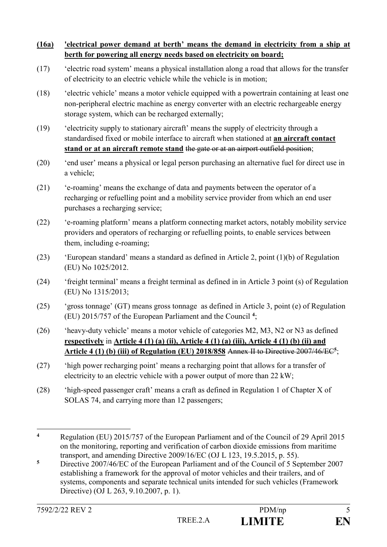### **(16a) 'electrical power demand at berth' means the demand in electricity from a ship at berth for powering all energy needs based on electricity on board;**

- (17) 'electric road system' means a physical installation along a road that allows for the transfer of electricity to an electric vehicle while the vehicle is in motion;
- (18) 'electric vehicle' means a motor vehicle equipped with a powertrain containing at least one non-peripheral electric machine as energy converter with an electric rechargeable energy storage system, which can be recharged externally;
- (19) 'electricity supply to stationary aircraft' means the supply of electricity through a standardised fixed or mobile interface to aircraft when stationed at **an aircraft contact stand or at an aircraft remote stand** the gate or at an airport outfield position;
- (20) 'end user' means a physical or legal person purchasing an alternative fuel for direct use in a vehicle;
- (21) 'e-roaming' means the exchange of data and payments between the operator of a recharging or refuelling point and a mobility service provider from which an end user purchases a recharging service;
- (22) 'e-roaming platform' means a platform connecting market actors, notably mobility service providers and operators of recharging or refuelling points, to enable services between them, including e-roaming;
- (23) 'European standard' means a standard as defined in Article 2, point (1)(b) of Regulation (EU) No 1025/2012.
- (24) 'freight terminal' means a freight terminal as defined in in Article 3 point (s) of Regulation (EU) No 1315/2013;
- (25) 'gross tonnage' (GT) means gross tonnage as defined in Article 3, point (e) of Regulation (EU) 2015/757 of the European Parliament and the Council **<sup>4</sup>** ;
- (26) 'heavy-duty vehicle' means a motor vehicle of categories M2, M3, N2 or N3 as defined **respectively** in **Article 4 (1) (a) (ii), Article 4 (1) (a) (iii), Article 4 (1) (b) (ii) and Article 4 (1) (b) (iii) of Regulation (EU) 2018/858** Annex II to Directive 2007/46/EC**<sup>5</sup>** ;
- (27) 'high power recharging point' means a recharging point that allows for a transfer of electricity to an electric vehicle with a power output of more than 22 kW;
- (28) 'high-speed passenger craft' means a craft as defined in Regulation 1 of Chapter X of SOLAS 74, and carrying more than 12 passengers;

<u>.</u>

**<sup>4</sup>** Regulation (EU) 2015/757 of the European Parliament and of the Council of 29 April 2015 on the monitoring, reporting and verification of carbon dioxide emissions from maritime transport, and amending Directive 2009/16/EC (OJ L 123, 19.5.2015, p. 55).

**<sup>5</sup>** Directive 2007/46/EC of the European Parliament and of the Council of 5 September 2007 establishing a framework for the approval of motor vehicles and their trailers, and of systems, components and separate technical units intended for such vehicles (Framework Directive) (OJ L 263, 9.10.2007, p. 1).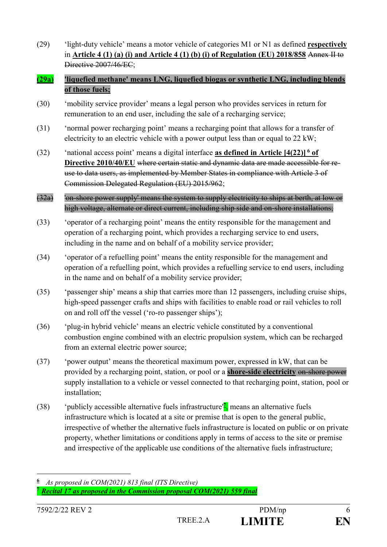(29) 'light-duty vehicle' means a motor vehicle of categories M1 or N1 as defined **respectively** in **Article 4 (1) (a) (i) and Article 4 (1) (b) (i) of Regulation (EU) 2018/858** Annex II to Directive 2007/46/EC<sup>.</sup>

#### **(29a) 'liquefied methane' means LNG, liquefied biogas or synthetic LNG, including blends of those fuels;**

- (30) 'mobility service provider' means a legal person who provides services in return for remuneration to an end user, including the sale of a recharging service;
- (31) 'normal power recharging point' means a recharging point that allows for a transfer of electricity to an electric vehicle with a power output less than or equal to 22 kW;
- (32) 'national access point' means a digital interface **as defined in Article [4(22)] <sup>6</sup> of Directive 2010/40/EU** where certain static and dynamic data are made accessible for reuse to data users, as implemented by Member States in compliance with Article 3 of Commission Delegated Regulation (EU) 2015/962;
- (32a) 'on-shore power supply' means the system to supply electricity to ships at berth, at low or high voltage, alternate or direct current, including ship side and on-shore installations;
- (33) 'operator of a recharging point' means the entity responsible for the management and operation of a recharging point, which provides a recharging service to end users, including in the name and on behalf of a mobility service provider;
- (34) 'operator of a refuelling point' means the entity responsible for the management and operation of a refuelling point, which provides a refuelling service to end users, including in the name and on behalf of a mobility service provider;
- (35) 'passenger ship' means a ship that carries more than 12 passengers, including cruise ships, high-speed passenger crafts and ships with facilities to enable road or rail vehicles to roll on and roll off the vessel ('ro-ro passenger ships');
- (36) 'plug-in hybrid vehicle' means an electric vehicle constituted by a conventional combustion engine combined with an electric propulsion system, which can be recharged from an external electric power source;
- (37) 'power output' means the theoretical maximum power, expressed in kW, that can be provided by a recharging point, station, or pool or a **shore-side electricity** on-shore power supply installation to a vehicle or vessel connected to that recharging point, station, pool or installation;
- (38) 'publicly accessible alternative fuels infrastructure<sup>'</sup><sup>*I*</sup>, means an alternative fuels infrastructure which is located at a site or premise that is open to the general public, irrespective of whether the alternative fuels infrastructure is located on public or on private property, whether limitations or conditions apply in terms of access to the site or premise and irrespective of the applicable use conditions of the alternative fuels infrastructure;

**<sup>6</sup>** *As proposed in COM(2021) 813 final (ITS Directive)* **<sup>7</sup>** *Recital 17 as proposed in the Commission proposal COM(2021) 559 final*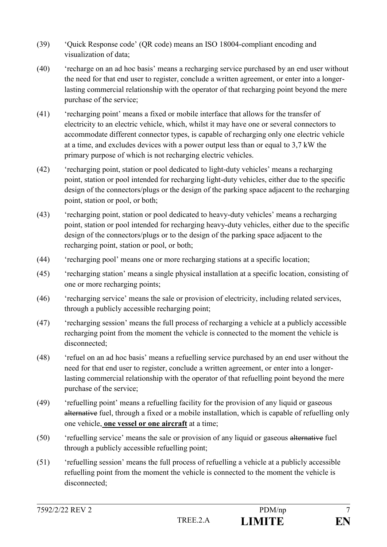- (39) 'Quick Response code' (QR code) means an ISO 18004-compliant encoding and visualization of data;
- (40) 'recharge on an ad hoc basis' means a recharging service purchased by an end user without the need for that end user to register, conclude a written agreement, or enter into a longerlasting commercial relationship with the operator of that recharging point beyond the mere purchase of the service;
- (41) 'recharging point' means a fixed or mobile interface that allows for the transfer of electricity to an electric vehicle, which, whilst it may have one or several connectors to accommodate different connector types, is capable of recharging only one electric vehicle at a time, and excludes devices with a power output less than or equal to 3,7 kW the primary purpose of which is not recharging electric vehicles.
- (42) 'recharging point, station or pool dedicated to light-duty vehicles' means a recharging point, station or pool intended for recharging light-duty vehicles, either due to the specific design of the connectors/plugs or the design of the parking space adjacent to the recharging point, station or pool, or both;
- (43) 'recharging point, station or pool dedicated to heavy-duty vehicles' means a recharging point, station or pool intended for recharging heavy-duty vehicles, either due to the specific design of the connectors/plugs or to the design of the parking space adjacent to the recharging point, station or pool, or both;
- (44) 'recharging pool' means one or more recharging stations at a specific location;
- (45) 'recharging station' means a single physical installation at a specific location, consisting of one or more recharging points;
- (46) 'recharging service' means the sale or provision of electricity, including related services, through a publicly accessible recharging point;
- (47) 'recharging session' means the full process of recharging a vehicle at a publicly accessible recharging point from the moment the vehicle is connected to the moment the vehicle is disconnected;
- (48) 'refuel on an ad hoc basis' means a refuelling service purchased by an end user without the need for that end user to register, conclude a written agreement, or enter into a longerlasting commercial relationship with the operator of that refuelling point beyond the mere purchase of the service;
- (49) 'refuelling point' means a refuelling facility for the provision of any liquid or gaseous alternative fuel, through a fixed or a mobile installation, which is capable of refuelling only one vehicle, **one vessel or one aircraft** at a time;
- (50) 'refuelling service' means the sale or provision of any liquid or gaseous alternative fuel through a publicly accessible refuelling point;
- (51) 'refuelling session' means the full process of refuelling a vehicle at a publicly accessible refuelling point from the moment the vehicle is connected to the moment the vehicle is disconnected;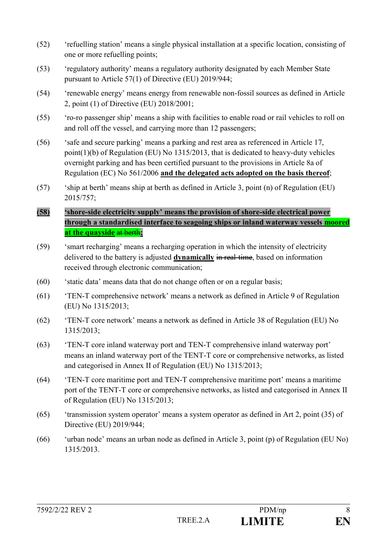- (52) 'refuelling station' means a single physical installation at a specific location, consisting of one or more refuelling points;
- (53) 'regulatory authority' means a regulatory authority designated by each Member State pursuant to Article 57(1) of Directive (EU) 2019/944;
- (54) 'renewable energy' means energy from renewable non-fossil sources as defined in Article 2, point (1) of Directive (EU) 2018/2001;
- (55) 'ro-ro passenger ship' means a ship with facilities to enable road or rail vehicles to roll on and roll off the vessel, and carrying more than 12 passengers;
- (56) 'safe and secure parking' means a parking and rest area as referenced in Article 17, point(1)(b) of Regulation (EU) No 1315/2013, that is dedicated to heavy-duty vehicles overnight parking and has been certified pursuant to the provisions in Article 8a of Regulation (EC) No 561/2006 **and the delegated acts adopted on the basis thereof**;
- (57) 'ship at berth' means ship at berth as defined in Article 3, point (n) of Regulation (EU) 2015/757;
- **(58) 'shore-side electricity supply' means the provision of shore-side electrical power through a standardised interface to seagoing ships or inland waterway vessels moored at the quayside** at berth**;**
- (59) 'smart recharging' means a recharging operation in which the intensity of electricity delivered to the battery is adjusted **dynamically** in real-time, based on information received through electronic communication;
- $(60)$  'static data' means data that do not change often or on a regular basis;
- (61) 'TEN-T comprehensive network' means a network as defined in Article 9 of Regulation (EU) No 1315/2013;
- (62) 'TEN-T core network' means a network as defined in Article 38 of Regulation (EU) No 1315/2013;
- (63) 'TEN-T core inland waterway port and TEN-T comprehensive inland waterway port' means an inland waterway port of the TENT-T core or comprehensive networks, as listed and categorised in Annex II of Regulation (EU) No 1315/2013;
- (64) 'TEN-T core maritime port and TEN-T comprehensive maritime port' means a maritime port of the TENT-T core or comprehensive networks, as listed and categorised in Annex II of Regulation (EU) No 1315/2013;
- (65) 'transmission system operator' means a system operator as defined in Art 2, point (35) of Directive (EU) 2019/944;
- (66) 'urban node' means an urban node as defined in Article 3, point (p) of Regulation (EU No) 1315/2013.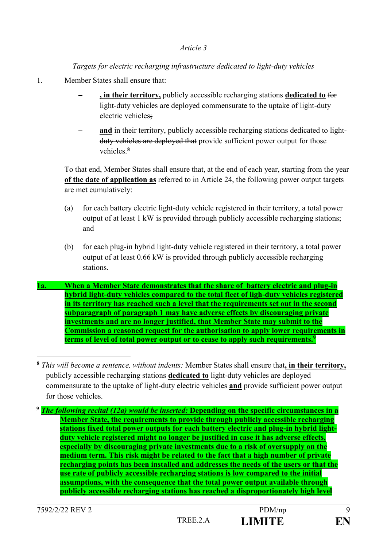### *Targets for electric recharging infrastructure dedicated to light-duty vehicles*

- 1. Member States shall ensure that:
	- ‒ **, in their territory,** publicly accessible recharging stations **dedicated to** for light-duty vehicles are deployed commensurate to the uptake of light-duty electric vehicles;
	- ‒ **and** in their territory, publicly accessible recharging stations dedicated to lightduty vehicles are deployed that provide sufficient power output for those vehicles.**<sup>8</sup>**

To that end, Member States shall ensure that, at the end of each year, starting from the year **of the date of application as** referred to in Article 24, the following power output targets are met cumulatively:

- (a) for each battery electric light-duty vehicle registered in their territory, a total power output of at least 1 kW is provided through publicly accessible recharging stations; and
- (b) for each plug-in hybrid light-duty vehicle registered in their territory, a total power output of at least 0.66 kW is provided through publicly accessible recharging stations.
- **1a. When a Member State demonstrates that the share of battery electric and plug-in hybrid light-duty vehicles compared to the total fleet of ligh-duty vehicles registered in its territory has reached such a level that the requirements set out in the second subparagraph of paragraph 1 may have adverse effects by discouraging private investments and are no longer justified, that Member State may submit to the Commission a reasoned request for the authorisation to apply lower requirements in terms of level of total power output or to cease to apply such requirements.<sup>9</sup>**

**<sup>8</sup>** *This will become a sentence, without indents:* Member States shall ensure that**, in their territory,** publicly accessible recharging stations **dedicated to** light-duty vehicles are deployed commensurate to the uptake of light-duty electric vehicles **and** provide sufficient power output for those vehicles.

**<sup>9</sup>** *The following recital (12a) would be inserted:* **Depending on the specific circumstances in a Member State, the requirements to provide through publicly accessible recharging stations fixed total power outputs for each battery electric and plug-in hybrid lightduty vehicle registered might no longer be justified in case it has adverse effects, especially by discouraging private investments due to a risk of oversupply on the medium term. This risk might be related to the fact that a high number of private recharging points has been installed and addresses the needs of the users or that the use rate of publicly accessible recharging stations is low compared to the initial assumptions, with the consequence that the total power output available through publicly accessible recharging stations has reached a disproportionately high level**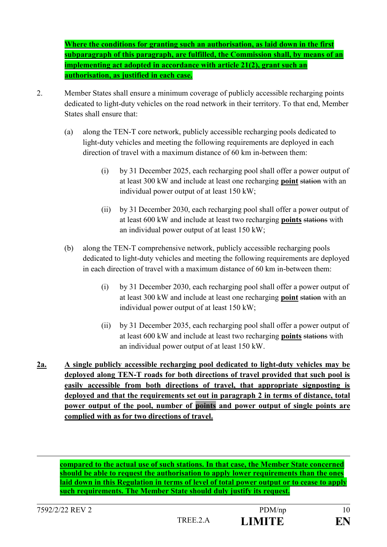**Where the conditions for granting such an authorisation, as laid down in the first subparagraph of this paragraph, are fulfilled, the Commission shall, by means of an implementing act adopted in accordance with article 21(2), grant such an authorisation, as justified in each case.**

- 2. Member States shall ensure a minimum coverage of publicly accessible recharging points dedicated to light-duty vehicles on the road network in their territory. To that end, Member States shall ensure that:
	- (a) along the TEN-T core network, publicly accessible recharging pools dedicated to light-duty vehicles and meeting the following requirements are deployed in each direction of travel with a maximum distance of 60 km in-between them:
		- (i) by 31 December 2025, each recharging pool shall offer a power output of at least 300 kW and include at least one recharging **point** station with an individual power output of at least 150 kW;
		- (ii) by 31 December 2030, each recharging pool shall offer a power output of at least 600 kW and include at least two recharging **points** stations with an individual power output of at least 150 kW;
	- (b) along the TEN-T comprehensive network, publicly accessible recharging pools dedicated to light-duty vehicles and meeting the following requirements are deployed in each direction of travel with a maximum distance of 60 km in-between them:
		- (i) by 31 December 2030, each recharging pool shall offer a power output of at least 300 kW and include at least one recharging **point** station with an individual power output of at least 150 kW;
		- (ii) by 31 December 2035, each recharging pool shall offer a power output of at least 600 kW and include at least two recharging **points** stations with an individual power output of at least 150 kW.
- **2a. A single publicly accessible recharging pool dedicated to light-duty vehicles may be deployed along TEN-T roads for both directions of travel provided that such pool is easily accessible from both directions of travel, that appropriate signposting is deployed and that the requirements set out in paragraph 2 in terms of distance, total power output of the pool, number of points and power output of single points are complied with as for two directions of travel.**

**compared to the actual use of such stations. In that case, the Member State concerned should be able to request the authorisation to apply lower requirements than the ones laid down in this Regulation in terms of level of total power output or to cease to apply such requirements. The Member State should duly justify its request.**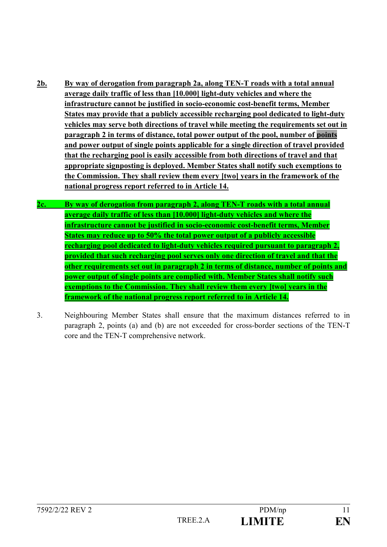- **2b. By way of derogation from paragraph 2a, along TEN-T roads with a total annual average daily traffic of less than [10.000] light-duty vehicles and where the infrastructure cannot be justified in socio-economic cost-benefit terms, Member States may provide that a publicly accessible recharging pool dedicated to light-duty vehicles may serve both directions of travel while meeting the requirements set out in paragraph 2 in terms of distance, total power output of the pool, number of points and power output of single points applicable for a single direction of travel provided that the recharging pool is easily accessible from both directions of travel and that appropriate signposting is deployed. Member States shall notify such exemptions to the Commission. They shall review them every [two] years in the framework of the national progress report referred to in Article 14.**
- **2c. By way of derogation from paragraph 2, along TEN-T roads with a total annual average daily traffic of less than [10.000] light-duty vehicles and where the infrastructure cannot be justified in socio-economic cost-benefit terms, Member States may reduce up to 50% the total power output of a publicly accessible recharging pool dedicated to light-duty vehicles required pursuant to paragraph 2, provided that such recharging pool serves only one direction of travel and that the other requirements set out in paragraph 2 in terms of distance, number of points and power output of single points are complied with. Member States shall notify such exemptions to the Commission. They shall review them every [two] years in the framework of the national progress report referred to in Article 14.**
- 3. Neighbouring Member States shall ensure that the maximum distances referred to in paragraph 2, points (a) and (b) are not exceeded for cross-border sections of the TEN-T core and the TEN-T comprehensive network.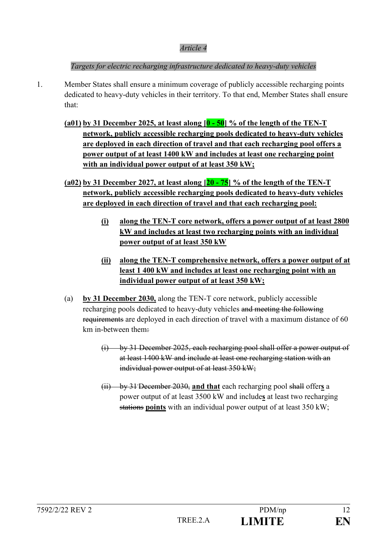*Targets for electric recharging infrastructure dedicated to heavy-duty vehicles*

- 1. Member States shall ensure a minimum coverage of publicly accessible recharging points dedicated to heavy-duty vehicles in their territory. To that end, Member States shall ensure that:
	- **(a01) by 31 December 2025, at least along [0 - 50] % of the length of the TEN-T network, publicly accessible recharging pools dedicated to heavy-duty vehicles are deployed in each direction of travel and that each recharging pool offers a power output of at least 1400 kW and includes at least one recharging point with an individual power output of at least 350 kW;**
	- **(a02) by 31 December 2027, at least along [20 - 75] % of the length of the TEN-T network, publicly accessible recharging pools dedicated to heavy-duty vehicles are deployed in each direction of travel and that each recharging pool:** 
		- **(i) along the TEN-T core network, offers a power output of at least 2800 kW and includes at least two recharging points with an individual power output of at least 350 kW**
		- **(ii) along the TEN-T comprehensive network, offers a power output of at least 1 400 kW and includes at least one recharging point with an individual power output of at least 350 kW;**
	- (a) **by 31 December 2030,** along the TEN-T core network, publicly accessible recharging pools dedicated to heavy-duty vehicles and meeting the following requirements are deployed in each direction of travel with a maximum distance of 60 km in-between them:
		- (i) by 31 December 2025, each recharging pool shall offer a power output of at least 1400 kW and include at least one recharging station with an individual power output of at least 350 kW;
		- (ii) by 31 December 2030, **and that** each recharging pool shall offer**s** a power output of at least 3500 kW and include**s** at least two recharging stations **points** with an individual power output of at least 350 kW;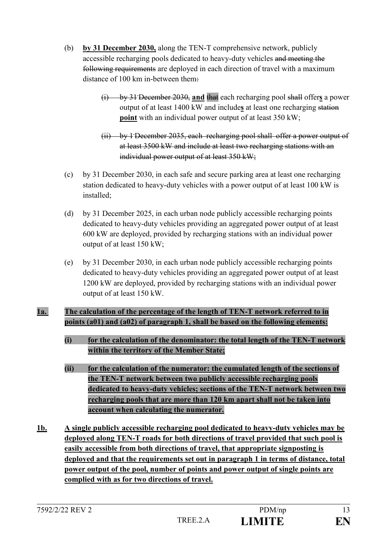- (b) **by 31 December 2030,** along the TEN-T comprehensive network, publicly accessible recharging pools dedicated to heavy-duty vehicles and meeting the following requirements are deployed in each direction of travel with a maximum distance of 100 km in-between them:
	- (i) by 31 December 2030, **and** that each recharging pool shall offer**s** a power output of at least 1400 kW and include**s** at least one recharging station **point** with an individual power output of at least 350 kW;
	- (ii) by 1 December 2035, each recharging pool shall offer a power output of at least 3500 kW and include at least two recharging stations with an individual power output of at least 350 kW;
- (c) by 31 December 2030, in each safe and secure parking area at least one recharging station dedicated to heavy-duty vehicles with a power output of at least 100 kW is installed;
- (d) by 31 December 2025, in each urban node publicly accessible recharging points dedicated to heavy-duty vehicles providing an aggregated power output of at least 600 kW are deployed, provided by recharging stations with an individual power output of at least 150 kW;
- (e) by 31 December 2030, in each urban node publicly accessible recharging points dedicated to heavy-duty vehicles providing an aggregated power output of at least 1200 kW are deployed, provided by recharging stations with an individual power output of at least 150 kW.

## **1a. The calculation of the percentage of the length of TEN-T network referred to in points (a01) and (a02) of paragraph 1, shall be based on the following elements:**

- **(i) for the calculation of the denominator: the total length of the TEN-T network within the territory of the Member State;**
- **(ii) for the calculation of the numerator: the cumulated length of the sections of the TEN-T network between two publicly accessible recharging pools dedicated to heavy-duty vehicles; sections of the TEN-T network between two recharging pools that are more than 120 km apart shall not be taken into account when calculating the numerator.**
- **1b. A single publicly accessible recharging pool dedicated to heavy-duty vehicles may be deployed along TEN-T roads for both directions of travel provided that such pool is easily accessible from both directions of travel, that appropriate signposting is deployed and that the requirements set out in paragraph 1 in terms of distance, total power output of the pool, number of points and power output of single points are complied with as for two directions of travel.**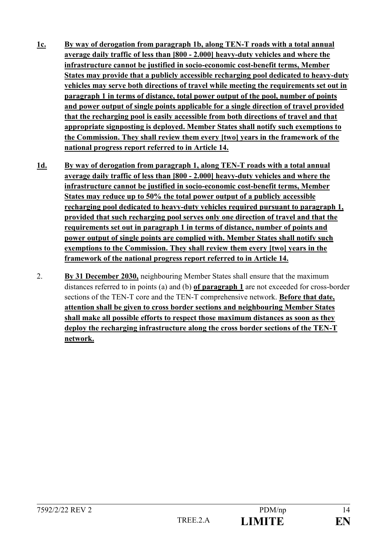- **1c. By way of derogation from paragraph 1b, along TEN-T roads with a total annual average daily traffic of less than [800 - 2.000] heavy-duty vehicles and where the infrastructure cannot be justified in socio-economic cost-benefit terms, Member States may provide that a publicly accessible recharging pool dedicated to heavy-duty vehicles may serve both directions of travel while meeting the requirements set out in paragraph 1 in terms of distance, total power output of the pool, number of points and power output of single points applicable for a single direction of travel provided that the recharging pool is easily accessible from both directions of travel and that appropriate signposting is deployed. Member States shall notify such exemptions to the Commission. They shall review them every [two] years in the framework of the national progress report referred to in Article 14.**
- **1d. By way of derogation from paragraph 1, along TEN-T roads with a total annual average daily traffic of less than [800 - 2.000] heavy-duty vehicles and where the infrastructure cannot be justified in socio-economic cost-benefit terms, Member States may reduce up to 50% the total power output of a publicly accessible recharging pool dedicated to heavy-duty vehicles required pursuant to paragraph 1, provided that such recharging pool serves only one direction of travel and that the requirements set out in paragraph 1 in terms of distance, number of points and power output of single points are complied with. Member States shall notify such exemptions to the Commission. They shall review them every [two] years in the framework of the national progress report referred to in Article 14.**
- 2. **By 31 December 2030,** neighbouring Member States shall ensure that the maximum distances referred to in points (a) and (b) **of paragraph 1** are not exceeded for cross-border sections of the TEN-T core and the TEN-T comprehensive network. **Before that date, attention shall be given to cross border sections and neighbouring Member States shall make all possible efforts to respect those maximum distances as soon as they deploy the recharging infrastructure along the cross border sections of the TEN-T network.**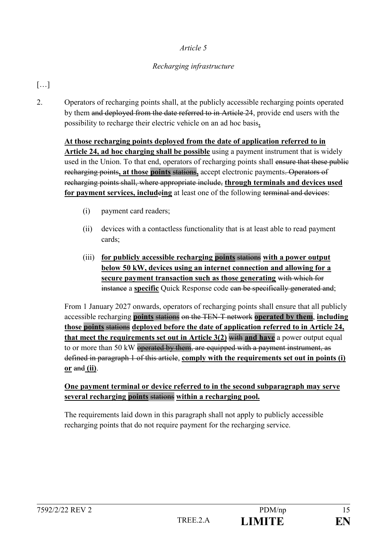### *Recharging infrastructure*

# […]

2. Operators of recharging points shall, at the publicly accessible recharging points operated by them and deployed from the date referred to in Article 24, provide end users with the possibility to recharge their electric vehicle on an ad hoc basis**.**

**At those recharging points deployed from the date of application referred to in Article 24, ad hoc charging shall be possible** using a payment instrument that is widely used in the Union. To that end, operators of recharging points shall ensure that these public recharging points**, at those points** stations**,** accept electronic payments. Operators of recharging points shall, where appropriate include, **through terminals and devices used for payment services, includeing** at least one of the following terminal and devices:

- (i) payment card readers;
- (ii) devices with a contactless functionality that is at least able to read payment cards;
- (iii) **for publicly accessible recharging points** stations **with a power output below 50 kW, devices using an internet connection and allowing for a secure payment transaction such as those generating** with which for instance a **specific** Quick Response code can be specifically generated and;

From 1 January 2027 onwards, operators of recharging points shall ensure that all publicly accessible recharging **points** stations on the TEN-T network **operated by them**, **including those points** stations **deployed before the date of application referred to in Article 24, that meet the requirements set out in Article 3(2)** with **and have** a power output equal to or more than 50 kW operated by them, are equipped with a payment instrument, as defined in paragraph 1 of this article, **comply with the requirements set out in points (i) or** and **(ii)**.

#### **One payment terminal or device referred to in the second subparagraph may serve several recharging points** stations **within a recharging pool.**

The requirements laid down in this paragraph shall not apply to publicly accessible recharging points that do not require payment for the recharging service.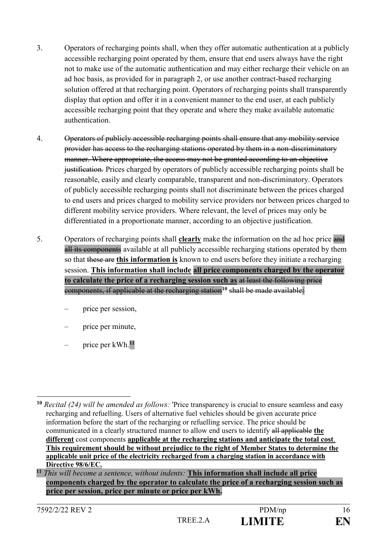- 3. Operators of recharging points shall, when they offer automatic authentication at a publicly accessible recharging point operated by them, ensure that end users always have the right not to make use of the automatic authentication and may either recharge their vehicle on an ad hoc basis, as provided for in paragraph 2, or use another contract-based recharging solution offered at that recharging point. Operators of recharging points shall transparently display that option and offer it in a convenient manner to the end user, at each publicly accessible recharging point that they operate and where they make available automatic authentication.
- 4. Operators of publicly accessible recharging points shall ensure that any mobility service provider has access to the recharging stations operated by them in a non-discriminatory manner. Where appropriate, the access may not be granted according to an objective justification*.* Prices charged by operators of publicly accessible recharging points shall be reasonable, easily and clearly comparable, transparent and non-discriminatory. Operators of publicly accessible recharging points shall not discriminate between the prices charged to end users and prices charged to mobility service providers nor between prices charged to different mobility service providers. Where relevant, the level of prices may only be differentiated in a proportionate manner, according to an objective justification.
- 5. Operators of recharging points shall **clearly** make the information on the ad hoc price and all its components available at all publicly accessible recharging stations operated by them so that these are **this information is** known to end users before they initiate a recharging session. **This information shall include all price components charged by the operator to calculate the price of a recharging session such as** at least the following price components, if applicable at the recharging station**<sup>10</sup>** shall be made available:
	- price per session,
	- price per minute,
	- price per kWh.**<sup>11</sup>**

<sup>1</sup> **<sup>10</sup>** *Recital (24) will be amended as follows:* 'Price transparency is crucial to ensure seamless and easy recharging and refuelling. Users of alternative fuel vehicles should be given accurate price information before the start of the recharging or refuelling service. The price should be communicated in a clearly structured manner to allow end users to identify all applicable **the different** cost components **applicable at the recharging stations and anticipate the total cost**. **This requirement should be without prejudice to the right of Member States to determine the applicable unit price of the electricity recharged from a charging station in accordance with Directive 98/6/EC.**

**<sup>11</sup>** *This will become a sentence, without indents:* **This information shall include all price components charged by the operator to calculate the price of a recharging session such as price per session, price per minute or price per kWh.**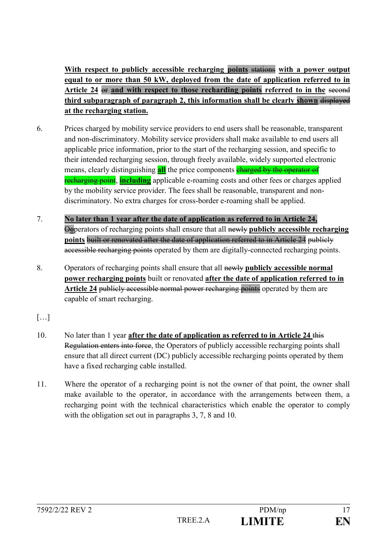**With respect to publicly accessible recharging points** stations **with a power output equal to or more than 50 kW, deployed from the date of application referred to in Article 24** or **and with respect to those recharding points referred to in the** second **third subparagraph of paragraph 2, this information shall be clearly shown** displayed **at the recharging station.**

- 6. Prices charged by mobility service providers to end users shall be reasonable, transparent and non-discriminatory. Mobility service providers shall make available to end users all applicable price information, prior to the start of the recharging session, and specific to their intended recharging session, through freely available, widely supported electronic means, clearly distinguishing **all** the price components **charged by the operator of** recharging point, **including** applicable e-roaming costs and other fees or charges applied by the mobility service provider. The fees shall be reasonable, transparent and nondiscriminatory. No extra charges for cross-border e-roaming shall be applied.
- 7. **No later than 1 year after the date of application as referred to in Article 24,** O**o**perators of recharging points shall ensure that all newly **publicly accessible recharging points** built or renovated after the date of application referred to in Article 24 publicly accessible recharging points operated by them are digitally-connected recharging points.
- 8. Operators of recharging points shall ensure that all newly **publicly accessible normal power recharging points** built or renovated **after the date of application referred to in Article 24** publicly accessible normal power recharging points operated by them are capable of smart recharging.
- […]
- 10. No later than 1 year **after the date of application as referred to in Article 24** this Regulation enters into force, the Operators of publicly accessible recharging points shall ensure that all direct current (DC) publicly accessible recharging points operated by them have a fixed recharging cable installed.
- 11. Where the operator of a recharging point is not the owner of that point, the owner shall make available to the operator, in accordance with the arrangements between them, a recharging point with the technical characteristics which enable the operator to comply with the obligation set out in paragraphs 3, 7, 8 and 10.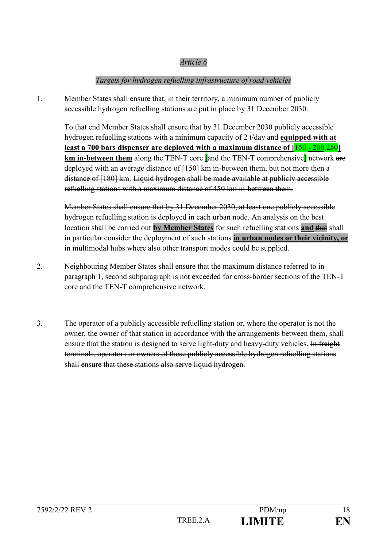### *Targets for hydrogen refuelling infrastructure of road vehicles*

1. Member States shall ensure that, in their territory, a minimum number of publicly accessible hydrogen refuelling stations are put in place by 31 December 2030.

To that end Member States shall ensure that by 31 December 2030 publicly accessible hydrogen refuelling stations with a minimum capacity of 2 t/day and **equipped with at least a 700 bars dispenser are deployed with a maximum distance of [**150 **- 200** 250**] km in-between them** along the TEN-T core **[**and the TEN-T comprehensive**]** network are deployed with an average distance of [150] km in-between them, but not more then a distance of [180] km. Liquid hydrogen shall be made available at publicly accessible refuelling stations with a maximum distance of 450 km in-between them.

Member States shall ensure that by 31 December 2030, at least one publicly accessible hydrogen refuelling station is deployed in each urban node. An analysis on the best location shall be carried out **by Member States** for such refuelling stations **and** that shall in particular consider the deployment of such stations **in urban nodes or their vicinity, or** in multimodal hubs where also other transport modes could be supplied.

- 2. Neighbouring Member States shall ensure that the maximum distance referred to in paragraph 1, second subparagraph is not exceeded for cross-border sections of the TEN-T core and the TEN-T comprehensive network.
- 3. The operator of a publicly accessible refuelling station or, where the operator is not the owner, the owner of that station in accordance with the arrangements between them, shall ensure that the station is designed to serve light-duty and heavy-duty vehicles. In freight terminals, operators or owners of these publicly accessible hydrogen refuelling stations shall ensure that these stations also serve liquid hydrogen.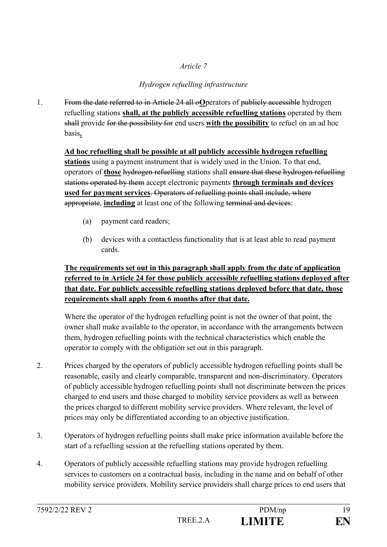## *Hydrogen refuelling infrastructure*

1. From the date referred to in Article 24 all o**O**perators of publicly accessible hydrogen refuelling stations **shall, at the publicly accessible refuelling stations** operated by them shall provide for the possibility for end users **with the possibility** to refuel on an ad hoc basis**.**

**Ad hoc refuelling shall be possible at all publicly accessible hydrogen refuelling stations** using a payment instrument that is widely used in the Union. To that end, operators of **those** hydrogen refuelling stations shall ensure that these hydrogen refuelling stations operated by them accept electronic payments **through terminals and devices used for payment services**. Operators of refuelling points shall include, where appropriate, **including** at least one of the following terminal and devices:

- (a) payment card readers;
- (b) devices with a contactless functionality that is at least able to read payment cards.

## **The requirements set out in this paragraph shall apply from the date of application referred to in Article 24 for those publicly accessible refuelling stations deployed after that date. For publicly accessible refuelling stations deployed before that date, those requirements shall apply from 6 months after that date.**

Where the operator of the hydrogen refuelling point is not the owner of that point, the owner shall make available to the operator, in accordance with the arrangements between them, hydrogen refuelling points with the technical characteristics which enable the operator to comply with the obligation set out in this paragraph.

- 2. Prices charged by the operators of publicly accessible hydrogen refuelling points shall be reasonable, easily and clearly comparable, transparent and non-discriminatory. Operators of publicly accessible hydrogen refuelling points shall not discriminate between the prices charged to end users and those charged to mobility service providers as well as between the prices charged to different mobility service providers. Where relevant, the level of prices may only be differentiated according to an objective justification.
- 3. Operators of hydrogen refuelling points shall make price information available before the start of a refuelling session at the refuelling stations operated by them.
- 4. Operators of publicly accessible refuelling stations may provide hydrogen refuelling services to customers on a contractual basis, including in the name and on behalf of other mobility service providers. Mobility service providers shall charge prices to end users that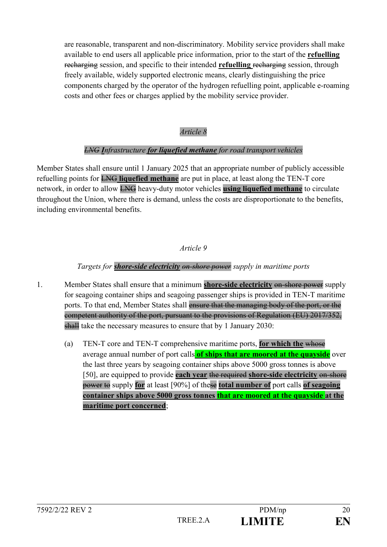are reasonable, transparent and non-discriminatory. Mobility service providers shall make available to end users all applicable price information, prior to the start of the **refuelling**  recharging session, and specific to their intended **refuelling** recharging session, through freely available, widely supported electronic means, clearly distinguishing the price components charged by the operator of the hydrogen refuelling point, applicable e-roaming costs and other fees or charges applied by the mobility service provider.

### *Article 8*

#### *LNG Infrastructure for liquefied methane for road transport vehicles*

Member States shall ensure until 1 January 2025 that an appropriate number of publicly accessible refuelling points for LNG **liquefied methane** are put in place, at least along the TEN-T core network, in order to allow LNG heavy-duty motor vehicles **using liquefied methane** to circulate throughout the Union, where there is demand, unless the costs are disproportionate to the benefits, including environmental benefits.

#### *Article 9*

### *Targets for shore-side electricity on-shore power supply in maritime ports*

- 1. Member States shall ensure that a minimum **shore-side electricity** on-shore power supply for seagoing container ships and seagoing passenger ships is provided in TEN-T maritime ports. To that end, Member States shall ensure that the managing body of the port, or the competent authority of the port, pursuant to the provisions of Regulation (EU) 2017/352, shall take the necessary measures to ensure that by 1 January 2030:
	- (a) TEN-T core and TEN-T comprehensive maritime ports, **for which the** whose average annual number of port calls **of ships that are moored at the quayside** over the last three years by seagoing container ships above 5000 gross tonnes is above [50], are equipped to provide **each year** the required **shore-side electricity** on-shore power to supply **for** at least [90%] of these **total number of** port calls **of seagoing container ships above 5000 gross tonnes that are moored at the quayside at the maritime port concerned**;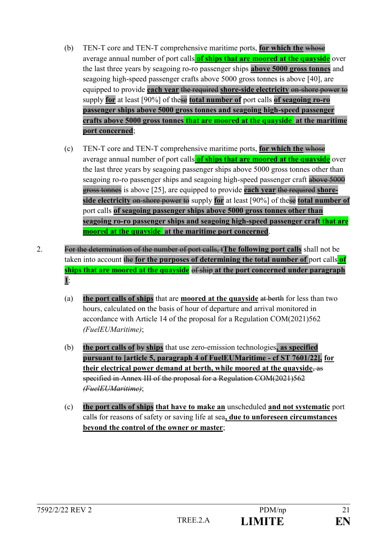- (b) TEN-T core and TEN-T comprehensive maritime ports, **for which the** whose average annual number of port calls **of ships that are moored at the quayside** over the last three years by seagoing ro-ro passenger ships **above 5000 gross tonnes** and seagoing high-speed passenger crafts above 5000 gross tonnes is above [40], are equipped to provide **each year** the required **shore-side electricity** on-shore power to supply **for** at least [90%] of these **total number of** port calls **of seagoing ro-ro passenger ships above 5000 gross tonnes and seagoing high-speed passenger crafts above 5000 gross tonnes that are moored at the quayside at the maritime port concerned**;
- (c) TEN-T core and TEN-T comprehensive maritime ports, **for which the** whose average annual number of port calls **of ships that are moored at the quayside** over the last three years by seagoing passenger ships above 5000 gross tonnes other than seagoing ro-ro passenger ships and seagoing high-speed passenger craft above 5000 gross tonnes is above [25], are equipped to provide **each year** the required **shoreside electricity** on-shore power to supply **for** at least [90%] of these **total number of** port calls **of seagoing passenger ships above 5000 gross tonnes other than seagoing ro-ro passenger ships and seagoing high-speed passenger craft that are moored at the quayside at the maritime port concerned**.
- 2. For the determination of the number of port calls, t**The following port calls** shall not be taken into account the **for the purposes of determining the total number of** port calls **of ships that are moored at the quayside** of ship **at the port concerned under paragraph 1**:
	- (a) **the port calls of ships** that are **moored at the quayside** at berth for less than two hours, calculated on the basis of hour of departure and arrival monitored in accordance with Article 14 of the proposal for a Regulation COM(2021)562 *(FuelEUMaritime)*;
	- (b) **the port calls of** by **ships** that use zero-emission technologies**, as specified pursuant to [article 5, paragraph 4 of FuelEUMaritime - cf ST 7601/22], for their electrical power demand at berth, while moored at the quayside**, as specified in Annex III of the proposal for a Regulation COM(2021)562 *(FuelEUMaritime)*;
	- (c) **the port calls of ships that have to make an** unscheduled **and not systematic** port calls for reasons of safety or saving life at sea**, due to unforeseen circumstances beyond the control of the owner or master**;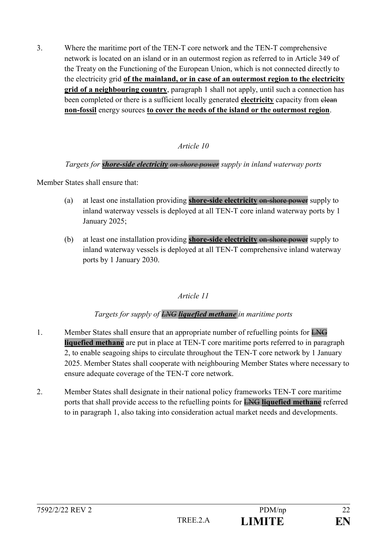3. Where the maritime port of the TEN-T core network and the TEN-T comprehensive network is located on an island or in an outermost region as referred to in Article 349 of the Treaty on the Functioning of the European Union, which is not connected directly to the electricity grid **of the mainland, or in case of an outermost region to the electricity grid of a neighbouring country**, paragraph 1 shall not apply, until such a connection has been completed or there is a sufficient locally generated **electricity** capacity from elean **non-fossil** energy sources **to cover the needs of the island or the outermost region**.

### *Article 10*

### *Targets for shore-side electricity on-shore power supply in inland waterway ports*

Member States shall ensure that:

- (a) at least one installation providing **shore-side electricity** on-shore power supply to inland waterway vessels is deployed at all TEN-T core inland waterway ports by 1 January 2025;
- (b) at least one installation providing **shore-side electricity** on-shore power supply to inland waterway vessels is deployed at all TEN-T comprehensive inland waterway ports by 1 January 2030.

#### *Article 11*

### *Targets for supply of LNG liquefied methane in maritime ports*

- 1. Member States shall ensure that an appropriate number of refuelling points for LNG **liquefied methane** are put in place at TEN-T core maritime ports referred to in paragraph 2, to enable seagoing ships to circulate throughout the TEN-T core network by 1 January 2025. Member States shall cooperate with neighbouring Member States where necessary to ensure adequate coverage of the TEN-T core network.
- 2. Member States shall designate in their national policy frameworks TEN-T core maritime ports that shall provide access to the refuelling points for LNG **liquefied methane** referred to in paragraph 1, also taking into consideration actual market needs and developments.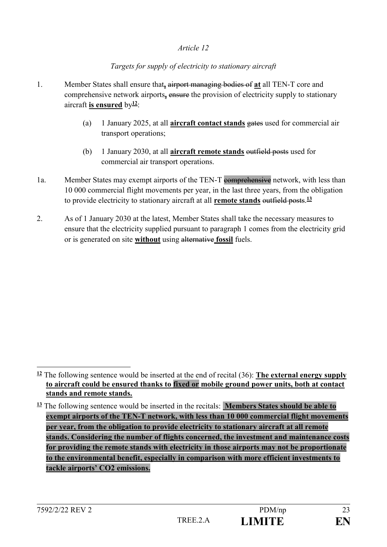#### *Targets for supply of electricity to stationary aircraft*

- 1. Member States shall ensure that**,** airport managing bodies of **at** all TEN-T core and comprehensive network airports**,** ensure the provision of electricity supply to stationary aircraft **is ensured** by**<sup>12</sup>**:
	- (a) 1 January 2025, at all **aircraft contact stands** gates used for commercial air transport operations;
	- (b) 1 January 2030, at all **aircraft remote stands** outfield posts used for commercial air transport operations.
- 1a. Member States may exempt airports of the TEN-T comprehensive network, with less than 10 000 commercial flight movements per year, in the last three years, from the obligation to provide electricity to stationary aircraft at all **remote stands** outfield posts. **13**
- 2. As of 1 January 2030 at the latest, Member States shall take the necessary measures to ensure that the electricity supplied pursuant to paragraph 1 comes from the electricity grid or is generated on site **without** using alternative **fossil** fuels.

 $\frac{12}{2}$  The following sentence would be inserted at the end of recital (36): **The external energy supply to aircraft could be ensured thanks to fixed or mobile ground power units, both at contact stands and remote stands.** 

**<sup>13</sup>** The following sentence would be inserted in the recitals: **Members States should be able to exempt airports of the TEN-T network, with less than 10 000 commercial flight movements per year, from the obligation to provide electricity to stationary aircraft at all remote stands. Considering the number of flights concerned, the investment and maintenance costs for providing the remote stands with electricity in those airports may not be proportionate to the environmental benefit, especially in comparison with more efficient investments to tackle airports' CO2 emissions.**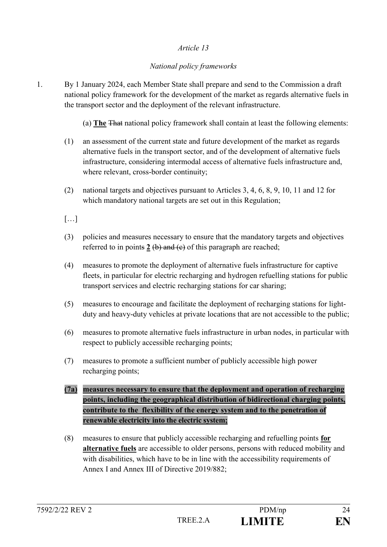### *National policy frameworks*

1. By 1 January 2024, each Member State shall prepare and send to the Commission a draft national policy framework for the development of the market as regards alternative fuels in the transport sector and the deployment of the relevant infrastructure.

(a) **The** That national policy framework shall contain at least the following elements:

- (1) an assessment of the current state and future development of the market as regards alternative fuels in the transport sector, and of the development of alternative fuels infrastructure, considering intermodal access of alternative fuels infrastructure and, where relevant, cross-border continuity;
- (2) national targets and objectives pursuant to Articles 3, 4, 6, 8, 9, 10, 11 and 12 for which mandatory national targets are set out in this Regulation;
- $[...]$
- (3) policies and measures necessary to ensure that the mandatory targets and objectives referred to in points  $2 \left( b \right)$  and  $\left( c \right)$  of this paragraph are reached;
- (4) measures to promote the deployment of alternative fuels infrastructure for captive fleets, in particular for electric recharging and hydrogen refuelling stations for public transport services and electric recharging stations for car sharing;
- (5) measures to encourage and facilitate the deployment of recharging stations for lightduty and heavy-duty vehicles at private locations that are not accessible to the public;
- (6) measures to promote alternative fuels infrastructure in urban nodes, in particular with respect to publicly accessible recharging points;
- (7) measures to promote a sufficient number of publicly accessible high power recharging points;
- **(7a) measures necessary to ensure that the deployment and operation of recharging points, including the geographical distribution of bidirectional charging points, contribute to the flexibility of the energy system and to the penetration of renewable electricity into the electric system;**
- (8) measures to ensure that publicly accessible recharging and refuelling points **for alternative fuels** are accessible to older persons, persons with reduced mobility and with disabilities, which have to be in line with the accessibility requirements of Annex I and Annex III of Directive 2019/882.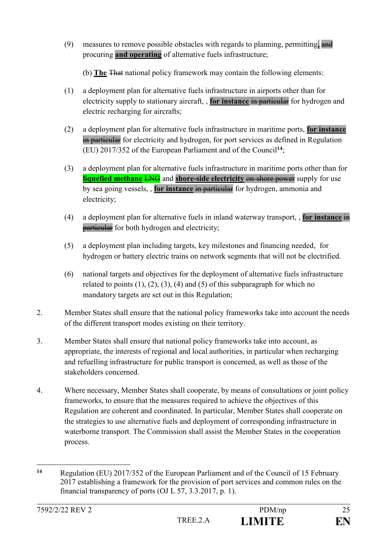(9) measures to remove possible obstacles with regards to planning, permitting**,** and procuring **and operating** of alternative fuels infrastructure;

(b) **The** That national policy framework may contain the following elements:

- (1) a deployment plan for alternative fuels infrastructure in airports other than for electricity supply to stationary aircraft, , **for instance** in particular for hydrogen and electric recharging for aircrafts;
- (2) a deployment plan for alternative fuels infrastructure in maritime ports, **for instance** in particular for electricity and hydrogen, for port services as defined in Regulation (EU) 2017/352 of the European Parliament and of the Council**<sup>14</sup>**;
- (3) a deployment plan for alternative fuels infrastructure in maritime ports other than for **liquefied methane LNG** and **shore-side electricity** on-shore power supply for use by sea going vessels, , **for instance** in particular for hydrogen, ammonia and electricity;
- (4) a deployment plan for alternative fuels in inland waterway transport, , **for instance** in **particular** for both hydrogen and electricity;
- (5) a deployment plan including targets, key milestones and financing needed, for hydrogen or battery electric trains on network segments that will not be electrified.
- (6) national targets and objectives for the deployment of alternative fuels infrastructure related to points  $(1)$ ,  $(2)$ ,  $(3)$ ,  $(4)$  and  $(5)$  of this subparagraph for which no mandatory targets are set out in this Regulation;
- 2. Member States shall ensure that the national policy frameworks take into account the needs of the different transport modes existing on their territory.
- 3. Member States shall ensure that national policy frameworks take into account, as appropriate, the interests of regional and local authorities, in particular when recharging and refuelling infrastructure for public transport is concerned, as well as those of the stakeholders concerned.
- 4. Where necessary, Member States shall cooperate, by means of consultations or joint policy frameworks, to ensure that the measures required to achieve the objectives of this Regulation are coherent and coordinated. In particular, Member States shall cooperate on the strategies to use alternative fuels and deployment of corresponding infrastructure in waterborne transport. The Commission shall assist the Member States in the cooperation process.

<sup>1</sup> **<sup>14</sup>** Regulation (EU) 2017/352 of the European Parliament and of the Council of 15 February 2017 establishing a framework for the provision of port services and common rules on the financial transparency of ports (OJ L 57, 3.3.2017, p. 1).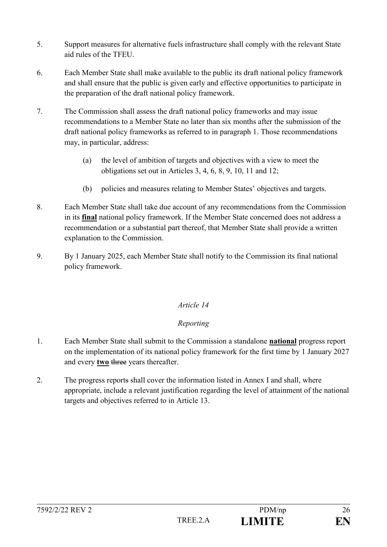- 5. Support measures for alternative fuels infrastructure shall comply with the relevant State aid rules of the TFEU.
- 6. Each Member State shall make available to the public its draft national policy framework and shall ensure that the public is given early and effective opportunities to participate in the preparation of the draft national policy framework.
- 7. The Commission shall assess the draft national policy frameworks and may issue recommendations to a Member State no later than six months after the submission of the draft national policy frameworks as referred to in paragraph 1. Those recommendations may, in particular, address:
	- (a) the level of ambition of targets and objectives with a view to meet the obligations set out in Articles 3, 4, 6, 8, 9, 10, 11 and 12;
	- (b) policies and measures relating to Member States' objectives and targets.
- 8. Each Member State shall take due account of any recommendations from the Commission in its **final** national policy framework. If the Member State concerned does not address a recommendation or a substantial part thereof, that Member State shall provide a written explanation to the Commission.
- 9. By 1 January 2025, each Member State shall notify to the Commission its final national policy framework.

### *Reporting*

- 1. Each Member State shall submit to the Commission a standalone **national** progress report on the implementation of its national policy framework for the first time by 1 January 2027 and every **two** three years thereafter.
- 2. The progress reports shall cover the information listed in Annex I and shall, where appropriate, include a relevant justification regarding the level of attainment of the national targets and objectives referred to in Article 13.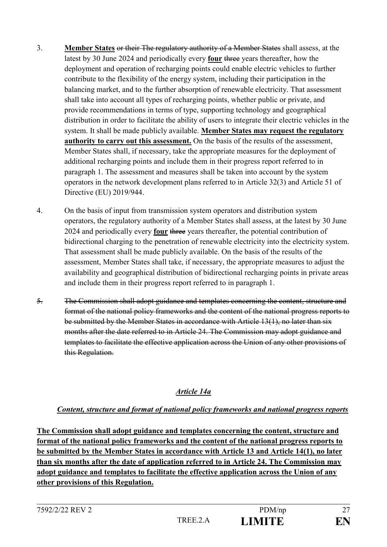- 3. **Member States** or their The regulatory authority of a Member States shall assess, at the latest by 30 June 2024 and periodically every **four** three years thereafter, how the deployment and operation of recharging points could enable electric vehicles to further contribute to the flexibility of the energy system, including their participation in the balancing market, and to the further absorption of renewable electricity. That assessment shall take into account all types of recharging points, whether public or private, and provide recommendations in terms of type, supporting technology and geographical distribution in order to facilitate the ability of users to integrate their electric vehicles in the system. It shall be made publicly available. **Member States may request the regulatory authority to carry out this assessment.** On the basis of the results of the assessment, Member States shall, if necessary, take the appropriate measures for the deployment of additional recharging points and include them in their progress report referred to in paragraph 1. The assessment and measures shall be taken into account by the system operators in the network development plans referred to in Article 32(3) and Article 51 of Directive (EU) 2019/944.
- 4. On the basis of input from transmission system operators and distribution system operators, the regulatory authority of a Member States shall assess, at the latest by 30 June 2024 and periodically every **four** three years thereafter, the potential contribution of bidirectional charging to the penetration of renewable electricity into the electricity system. That assessment shall be made publicly available. On the basis of the results of the assessment, Member States shall take, if necessary, the appropriate measures to adjust the availability and geographical distribution of bidirectional recharging points in private areas and include them in their progress report referred to in paragraph 1.
- 5. The Commission shall adopt guidance and templates concerning the content, structure and format of the national policy frameworks and the content of the national progress reports to be submitted by the Member States in accordance with Article 13(1), no later than six months after the date referred to in Article 24. The Commission may adopt guidance and templates to facilitate the effective application across the Union of any other provisions of this Regulation.

### *Article 14a*

#### *Content, structure and format of national policy frameworks and national progress reports*

**The Commission shall adopt guidance and templates concerning the content, structure and format of the national policy frameworks and the content of the national progress reports to be submitted by the Member States in accordance with Article 13 and Article 14(1), no later than six months after the date of application referred to in Article 24. The Commission may adopt guidance and templates to facilitate the effective application across the Union of any other provisions of this Regulation.**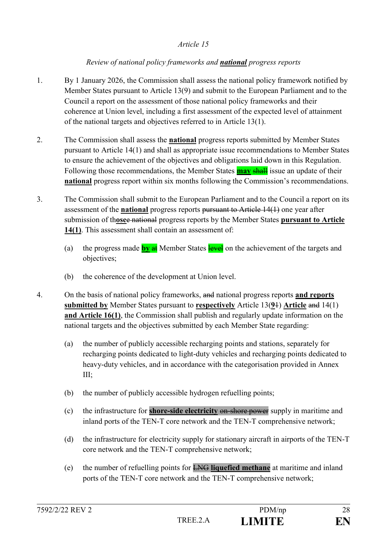### *Review of national policy frameworks and national progress reports*

- 1. By 1 January 2026, the Commission shall assess the national policy framework notified by Member States pursuant to Article 13(9) and submit to the European Parliament and to the Council a report on the assessment of those national policy frameworks and their coherence at Union level, including a first assessment of the expected level of attainment of the national targets and objectives referred to in Article 13(1).
- 2. The Commission shall assess the **national** progress reports submitted by Member States pursuant to Article 14(1) and shall as appropriate issue recommendations to Member States to ensure the achievement of the objectives and obligations laid down in this Regulation. Following those recommendations, the Member States **may** shall issue an update of their **national** progress report within six months following the Commission's recommendations.
- 3. The Commission shall submit to the European Parliament and to the Council a report on its assessment of the **national** progress reports pursuant to Article 14(1) one year after submission of th**ose**e national progress reports by the Member States **pursuant to Article 14(1)**. This assessment shall contain an assessment of:
	- (a) the progress made **by** at Member States level on the achievement of the targets and objectives;
	- (b) the coherence of the development at Union level.
- 4. On the basis of national policy frameworks, and national progress reports **and reports submitted by** Member States pursuant to **respectively** Article 13(**9**1) **Article** and 14(1) **and Article 16(1)**, the Commission shall publish and regularly update information on the national targets and the objectives submitted by each Member State regarding:
	- (a) the number of publicly accessible recharging points and stations, separately for recharging points dedicated to light-duty vehicles and recharging points dedicated to heavy-duty vehicles, and in accordance with the categorisation provided in Annex III;
	- (b) the number of publicly accessible hydrogen refuelling points;
	- (c) the infrastructure for **shore-side electricity** on-shore power supply in maritime and inland ports of the TEN-T core network and the TEN-T comprehensive network;
	- (d) the infrastructure for electricity supply for stationary aircraft in airports of the TEN-T core network and the TEN-T comprehensive network;
	- (e) the number of refuelling points for LNG **liquefied methane** at maritime and inland ports of the TEN-T core network and the TEN-T comprehensive network;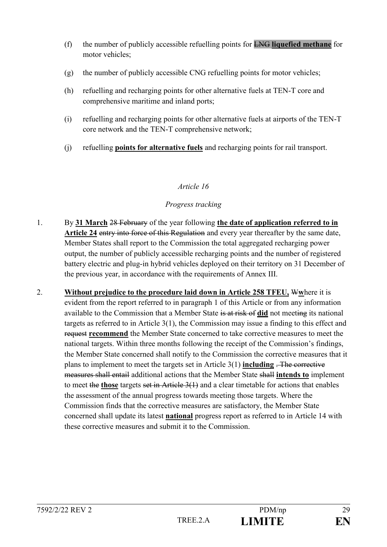- (f) the number of publicly accessible refuelling points for LNG **liquefied methane** for motor vehicles;
- (g) the number of publicly accessible CNG refuelling points for motor vehicles;
- (h) refuelling and recharging points for other alternative fuels at TEN-T core and comprehensive maritime and inland ports;
- (i) refuelling and recharging points for other alternative fuels at airports of the TEN-T core network and the TEN-T comprehensive network;
- (j) refuelling **points for alternative fuels** and recharging points for rail transport.

### *Progress tracking*

- 1. By **31 March** 28 February of the year following **the date of application referred to in Article 24** entry into force of this Regulation and every year thereafter by the same date, Member States shall report to the Commission the total aggregated recharging power output, the number of publicly accessible recharging points and the number of registered battery electric and plug-in hybrid vehicles deployed on their territory on 31 December of the previous year, in accordance with the requirements of Annex III.
- 2. **Without prejudice to the procedure laid down in Article 258 TFEU,** W**w**here it is evident from the report referred to in paragraph 1 of this Article or from any information available to the Commission that a Member State is at risk of **did** not meeting its national targets as referred to in Article 3(1), the Commission may issue a finding to this effect and request **recommend** the Member State concerned to take corrective measures to meet the national targets. Within three months following the receipt of the Commission's findings, the Member State concerned shall notify to the Commission the corrective measures that it plans to implement to meet the targets set in Article 3(1) **including** . The corrective measures shall entail additional actions that the Member State shall **intends to** implement to meet the **those** targets set in Article 3(1) and a clear timetable for actions that enables the assessment of the annual progress towards meeting those targets. Where the Commission finds that the corrective measures are satisfactory, the Member State concerned shall update its latest **national** progress report as referred to in Article 14 with these corrective measures and submit it to the Commission.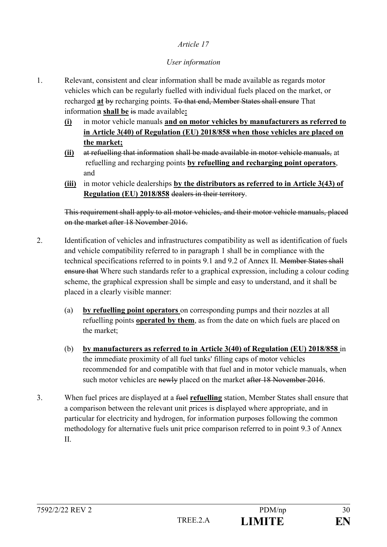### *User information*

- 1. Relevant, consistent and clear information shall be made available as regards motor vehicles which can be regularly fuelled with individual fuels placed on the market, or recharged **at** by recharging points. To that end, Member States shall ensure That information **shall be** is made available**:**
	- **(i)** in motor vehicle manuals **and on motor vehicles by manufacturers as referred to in Article 3(40) of Regulation (EU) 2018/858 when those vehicles are placed on the market;**
	- **(ii)** at refuelling that information shall be made available in motor vehicle manuals, at refuelling and recharging points **by refuelling and recharging point operators**, and
	- **(iii)** in motor vehicle dealerships **by the distributors as referred to in Article 3(43) of Regulation (EU) 2018/858** dealers in their territory.

This requirement shall apply to all motor vehicles, and their motor vehicle manuals, placed on the market after 18 November 2016.

- 2. Identification of vehicles and infrastructures compatibility as well as identification of fuels and vehicle compatibility referred to in paragraph 1 shall be in compliance with the technical specifications referred to in points 9.1 and 9.2 of Annex II. Member States shall ensure that Where such standards refer to a graphical expression, including a colour coding scheme, the graphical expression shall be simple and easy to understand, and it shall be placed in a clearly visible manner:
	- (a) **by refuelling point operators** on corresponding pumps and their nozzles at all refuelling points **operated by them**, as from the date on which fuels are placed on the market;
	- (b) **by manufacturers as referred to in Article 3(40) of Regulation (EU) 2018/858** in the immediate proximity of all fuel tanks' filling caps of motor vehicles recommended for and compatible with that fuel and in motor vehicle manuals, when such motor vehicles are newly placed on the market after 18 November 2016.
- 3. When fuel prices are displayed at a fuel **refuelling** station, Member States shall ensure that a comparison between the relevant unit prices is displayed where appropriate, and in particular for electricity and hydrogen, for information purposes following the common methodology for alternative fuels unit price comparison referred to in point 9.3 of Annex II.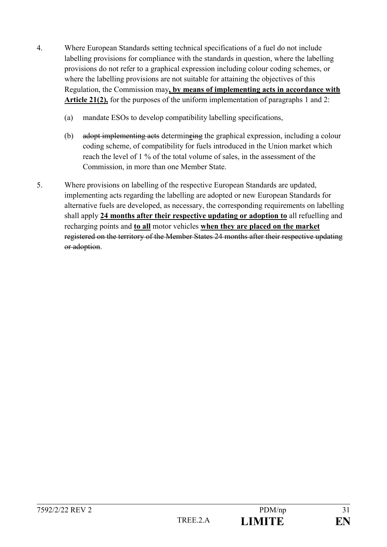- 4. Where European Standards setting technical specifications of a fuel do not include labelling provisions for compliance with the standards in question, where the labelling provisions do not refer to a graphical expression including colour coding schemes, or where the labelling provisions are not suitable for attaining the objectives of this Regulation, the Commission may**, by means of implementing acts in accordance with Article 21(2),** for the purposes of the uniform implementation of paragraphs 1 and 2:
	- (a) mandate ESOs to develop compatibility labelling specifications,
	- (b) adopt implementing acts determin**e**ing the graphical expression, including a colour coding scheme, of compatibility for fuels introduced in the Union market which reach the level of 1 % of the total volume of sales, in the assessment of the Commission, in more than one Member State.
- 5. Where provisions on labelling of the respective European Standards are updated, implementing acts regarding the labelling are adopted or new European Standards for alternative fuels are developed, as necessary, the corresponding requirements on labelling shall apply **24 months after their respective updating or adoption to** all refuelling and recharging points and **to all** motor vehicles **when they are placed on the market** registered on the territory of the Member States 24 months after their respective updating or adoption.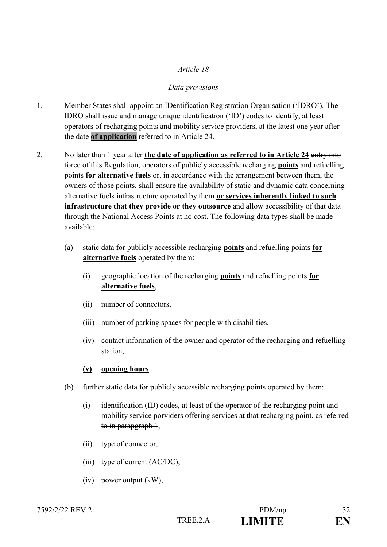### *Data provisions*

- 1. Member States shall appoint an IDentification Registration Organisation ('IDRO'). The IDRO shall issue and manage unique identification ('ID') codes to identify, at least operators of recharging points and mobility service providers, at the latest one year after the date **of application** referred to in Article 24.
- 2. No later than 1 year after **the date of application as referred to in Article 24** entry into force of this Regulation, operators of publicly accessible recharging **points** and refuelling points **for alternative fuels** or, in accordance with the arrangement between them, the owners of those points, shall ensure the availability of static and dynamic data concerning alternative fuels infrastructure operated by them **or services inherently linked to such infrastructure that they provide or they outsource** and allow accessibility of that data through the National Access Points at no cost. The following data types shall be made available:
	- (a) static data for publicly accessible recharging **points** and refuelling points **for alternative fuels** operated by them:
		- (i) geographic location of the recharging **points** and refuelling points **for alternative fuels**,
		- (ii) number of connectors,
		- (iii) number of parking spaces for people with disabilities,
		- (iv) contact information of the owner and operator of the recharging and refuelling station,

### **(v) opening hours**.

- (b) further static data for publicly accessible recharging points operated by them:
	- (i) identification (ID) codes, at least of the operator of the recharging point and mobility service porviders offering services at that recharging point, as referred to in parapgraph 1,
	- (ii) type of connector,
	- (iii) type of current (AC/DC),
	- (iv) power output (kW),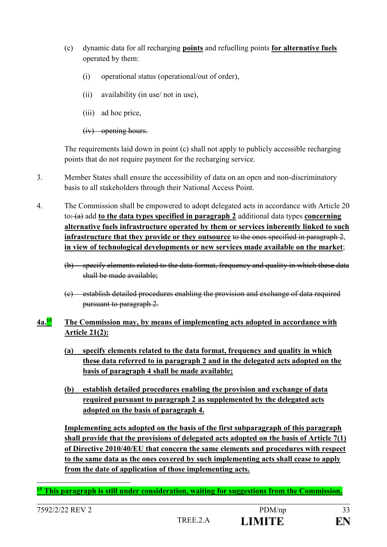- (c) dynamic data for all recharging **points** and refuelling points **for alternative fuels** operated by them:
	- (i) operational status (operational/out of order),
	- (ii) availability (in use/ not in use),
	- (iii) ad hoc price,
	- (iv) opening hours.

The requirements laid down in point (c) shall not apply to publicly accessible recharging points that do not require payment for the recharging service.

- 3. Member States shall ensure the accessibility of data on an open and non-discriminatory basis to all stakeholders through their National Access Point.
- 4. The Commission shall be empowered to adopt delegated acts in accordance with Article 20 to: (a) add **to the data types specified in paragraph 2** additional data types **concerning alternative fuels infrastructure operated by them or services inherently linked to such infrastructure that they provide or they outsource** to the ones specified in paragraph 2, **in view of technological developments or new services made available on the market**;
	- (b) specify elements related to the data format, frequency and quality in which these data shall be made available;
	- (c) establish detailed procedures enabling the provision and exchange of data required pursuant to paragraph 2.

## **4a.<sup>15</sup> The Commission may, by means of implementing acts adopted in accordance with Article 21(2):**

- **(a) specify elements related to the data format, frequency and quality in which these data referred to in paragraph 2 and in the delegated acts adopted on the basis of paragraph 4 shall be made available;**
- **(b) establish detailed procedures enabling the provision and exchange of data required pursuant to paragraph 2 as supplemented by the delegated acts adopted on the basis of paragraph 4.**

**Implementing acts adopted on the basis of the first subparagraph of this paragraph shall provide that the provisions of delegated acts adopted on the basis of Article 7(1) of Directive 2010/40/EU that concern the same elements and procedures with respect to the same data as the ones covered by such implementing acts shall cease to apply from the date of application of those implementing acts.** 

<u>.</u> **<sup>15</sup> This paragraph is still under consideration, waiting for suggestions from the Commission.**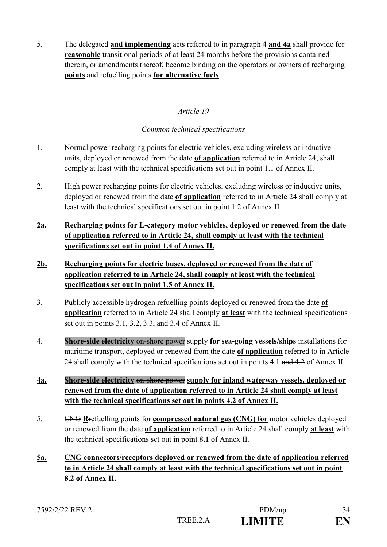5. The delegated **and implementing** acts referred to in paragraph 4 **and 4a** shall provide for **reasonable** transitional periods of at least 24 months before the provisions contained therein, or amendments thereof, become binding on the operators or owners of recharging **points** and refuelling points **for alternative fuels**.

### *Article 19*

### *Common technical specifications*

- 1. Normal power recharging points for electric vehicles, excluding wireless or inductive units, deployed or renewed from the date **of application** referred to in Article 24, shall comply at least with the technical specifications set out in point 1.1 of Annex II.
- 2. High power recharging points for electric vehicles, excluding wireless or inductive units, deployed or renewed from the date **of application** referred to in Article 24 shall comply at least with the technical specifications set out in point 1.2 of Annex II.
- **2a. Recharging points for L-category motor vehicles, deployed or renewed from the date of application referred to in Article 24, shall comply at least with the technical specifications set out in point 1.4 of Annex II.**
- **2b. Recharging points for electric buses, deployed or renewed from the date of application referred to in Article 24, shall comply at least with the technical specifications set out in point 1.5 of Annex II.**
- 3. Publicly accessible hydrogen refuelling points deployed or renewed from the date **of application** referred to in Article 24 shall comply **at least** with the technical specifications set out in points 3.1, 3.2, 3.3, and 3.4 of Annex II.
- 4. **Shore-side electricity** on-shore power supply **for sea-going vessels/ships** installations for maritime transport, deployed or renewed from the date **of application** referred to in Article 24 shall comply with the technical specifications set out in points 4.1 and 4.2 of Annex II.
- **4a. Shore-side electricity** on-shore power **supply for inland waterway vessels, deployed or renewed from the date of application referred to in Article 24 shall comply at least with the technical specifications set out in points 4.2 of Annex II.**
- 5. CNG **R**refuelling points for **compressed natural gas (CNG) for** motor vehicles deployed or renewed from the date **of application** referred to in Article 24 shall comply **at least** with the technical specifications set out in point 8**.1** of Annex II.
- **5a. CNG connectors/receptors deployed or renewed from the date of application referred to in Article 24 shall comply at least with the technical specifications set out in point 8.2 of Annex II.**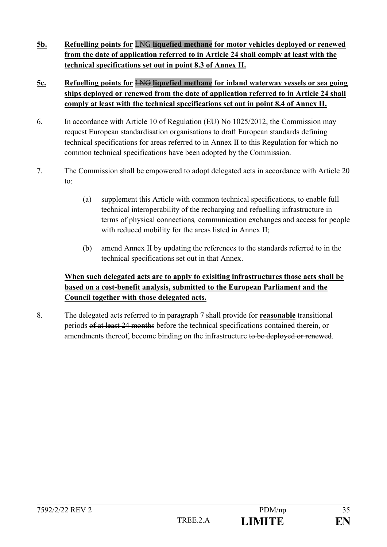- **5b. Refuelling points for** LNG **liquefied methane for motor vehicles deployed or renewed from the date of application referred to in Article 24 shall comply at least with the technical specifications set out in point 8.3 of Annex II.**
- **5c. Refuelling points for** LNG **liquefied methane for inland waterway vessels or sea going ships deployed or renewed from the date of application referred to in Article 24 shall comply at least with the technical specifications set out in point 8.4 of Annex II.**
- 6. In accordance with Article 10 of Regulation (EU) No 1025/2012, the Commission may request European standardisation organisations to draft European standards defining technical specifications for areas referred to in Annex II to this Regulation for which no common technical specifications have been adopted by the Commission.
- 7. The Commission shall be empowered to adopt delegated acts in accordance with Article 20 to:
	- (a) supplement this Article with common technical specifications, to enable full technical interoperability of the recharging and refuelling infrastructure in terms of physical connections*,* communication exchanges and access for people with reduced mobility for the areas listed in Annex II;
	- (b) amend Annex II by updating the references to the standards referred to in the technical specifications set out in that Annex.

## **When such delegated acts are to apply to exisiting infrastructures those acts shall be based on a cost-benefit analysis, submitted to the European Parliament and the Council together with those delegated acts.**

8. The delegated acts referred to in paragraph 7 shall provide for **reasonable** transitional periods of at least 24 months before the technical specifications contained therein, or amendments thereof, become binding on the infrastructure to be deployed or renewed.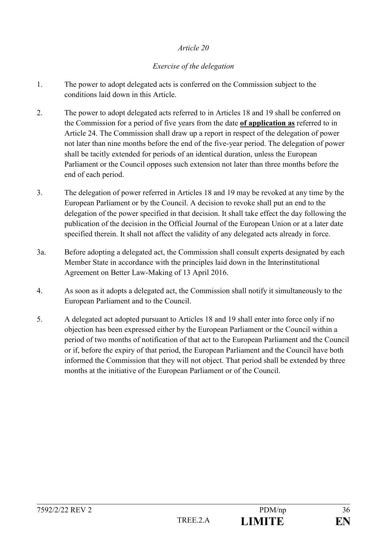#### *Exercise of the delegation*

- 1. The power to adopt delegated acts is conferred on the Commission subject to the conditions laid down in this Article.
- 2. The power to adopt delegated acts referred to in Articles 18 and 19 shall be conferred on the Commission for a period of five years from the date **of application as** referred to in Article 24. The Commission shall draw up a report in respect of the delegation of power not later than nine months before the end of the five-year period. The delegation of power shall be tacitly extended for periods of an identical duration, unless the European Parliament or the Council opposes such extension not later than three months before the end of each period.
- 3. The delegation of power referred in Articles 18 and 19 may be revoked at any time by the European Parliament or by the Council. A decision to revoke shall put an end to the delegation of the power specified in that decision. It shall take effect the day following the publication of the decision in the Official Journal of the European Union or at a later date specified therein. It shall not affect the validity of any delegated acts already in force.
- 3a. Before adopting a delegated act, the Commission shall consult experts designated by each Member State in accordance with the principles laid down in the Interinstitutional Agreement on Better Law-Making of 13 April 2016.
- 4. As soon as it adopts a delegated act, the Commission shall notify it simultaneously to the European Parliament and to the Council.
- 5. A delegated act adopted pursuant to Articles 18 and 19 shall enter into force only if no objection has been expressed either by the European Parliament or the Council within a period of two months of notification of that act to the European Parliament and the Council or if, before the expiry of that period, the European Parliament and the Council have both informed the Commission that they will not object. That period shall be extended by three months at the initiative of the European Parliament or of the Council.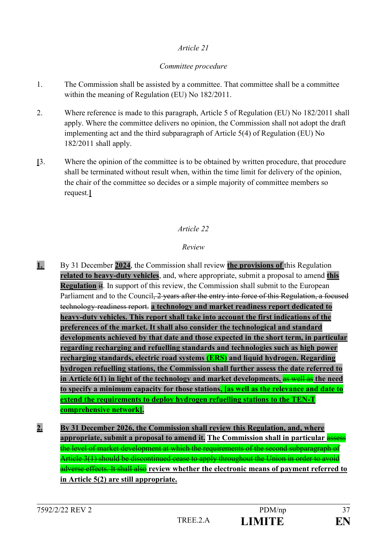### *Committee procedure*

- 1. The Commission shall be assisted by a committee. That committee shall be a committee within the meaning of Regulation (EU) No 182/2011.
- 2. Where reference is made to this paragraph, Article 5 of Regulation (EU) No 182/2011 shall apply. Where the committee delivers no opinion, the Commission shall not adopt the draft implementing act and the third subparagraph of Article 5(4) of Regulation (EU) No 182/2011 shall apply.
- **[**3. Where the opinion of the committee is to be obtained by written procedure, that procedure shall be terminated without result when, within the time limit for delivery of the opinion, the chair of the committee so decides or a simple majority of committee members so request.**]**

### *Article 22*

### *Review*

- **1.** By 31 December **2024**, the Commission shall review **the provisions of** this Regulation **related to heavy-duty vehicles**, and, where appropriate, submit a proposal to amend **this Regulation** it. In support of this review, the Commission shall submit to the European Parliament and to the Council<del>, 2 years after the entry into force of this Regulation, a focused</del> technology-readiness report. **a technology and market readiness report dedicated to heavy-duty vehicles. This report shall take into account the first indications of the preferences of the market. It shall also consider the technological and standard developments achieved by that date and those expected in the short term, in particular regarding recharging and refuelling standards and technologies such as high power recharging standards, electric road systems (ERS) and liquid hydrogen. Regarding hydrogen refuelling stations, the Commission shall further assess the date referred to in Article 6(1) in light of the technology and market developments,** as well as **the need to specify a minimum capacity for those stations, [as well as the relevance and date to extend the requirements to deploy hydrogen refuelling stations to the TEN-T comprehensive network].**
- **2. By 31 December 2026, the Commission shall review this Regulation, and, where appropriate, submit a proposal to amend it. The Commission shall in particular** assess the level of market development at which the requirements of the second subparagraph of Article 3(1) should be discontinued cease to apply throughout the Union in order to avoid adverse effects. It shall also **review whether the electronic means of payment referred to in Article 5(2) are still appropriate.**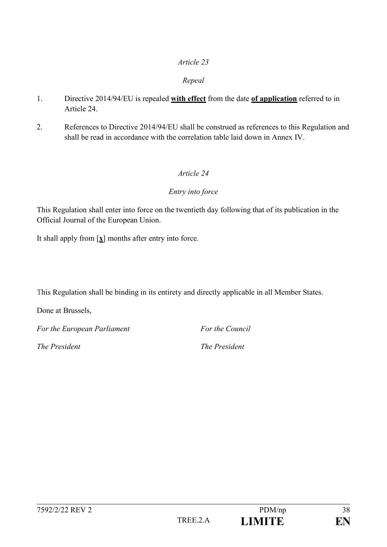#### *Repeal*

- 1. Directive 2014/94/EU is repealed **with effect** from the date **of application** referred to in Article 24.
- 2. References to Directive 2014/94/EU shall be construed as references to this Regulation and shall be read in accordance with the correlation table laid down in Annex IV.

### *Article 24*

#### *Entry into force*

This Regulation shall enter into force on the twentieth day following that of its publication in the Official Journal of the European Union.

It shall apply from [**x**] months after entry into force.

This Regulation shall be binding in its entirety and directly applicable in all Member States.

Done at Brussels,

*For the European Parliament For the Council*

*The President The President*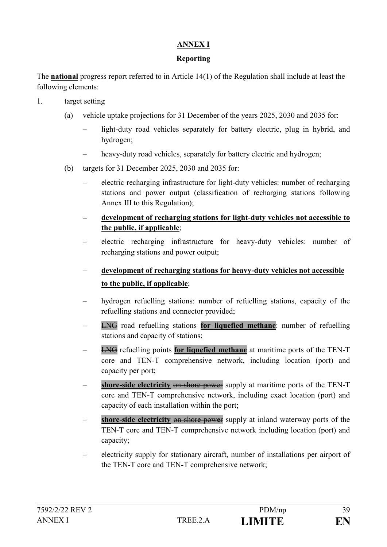## **ANNEX I**

### **Reporting**

The **national** progress report referred to in Article 14(1) of the Regulation shall include at least the following elements:

- 1. target setting
	- (a) vehicle uptake projections for 31 December of the years 2025, 2030 and 2035 for:
		- light-duty road vehicles separately for battery electric, plug in hybrid, and hydrogen;
		- heavy-duty road vehicles, separately for battery electric and hydrogen;
	- (b) targets for 31 December 2025, 2030 and 2035 for:
		- electric recharging infrastructure for light-duty vehicles: number of recharging stations and power output (classification of recharging stations following Annex III to this Regulation);
		- **development of recharging stations for light-duty vehicles not accessible to the public, if applicable**;
		- electric recharging infrastructure for heavy-duty vehicles: number of recharging stations and power output;
		- **development of recharging stations for heavy-duty vehicles not accessible to the public, if applicable**;
		- hydrogen refuelling stations: number of refuelling stations, capacity of the refuelling stations and connector provided;
		- LNG road refuelling stations **for liquefied methane**: number of refuelling stations and capacity of stations;
		- LNG refuelling points **for liquefied methane** at maritime ports of the TEN-T core and TEN-T comprehensive network, including location (port) and capacity per port;
		- shore-side electricity on-shore power supply at maritime ports of the TEN-T core and TEN-T comprehensive network, including exact location (port) and capacity of each installation within the port;
		- **shore-side electricity** on shore power supply at inland waterway ports of the TEN-T core and TEN-T comprehensive network including location (port) and capacity;
		- electricity supply for stationary aircraft, number of installations per airport of the TEN-T core and TEN-T comprehensive network;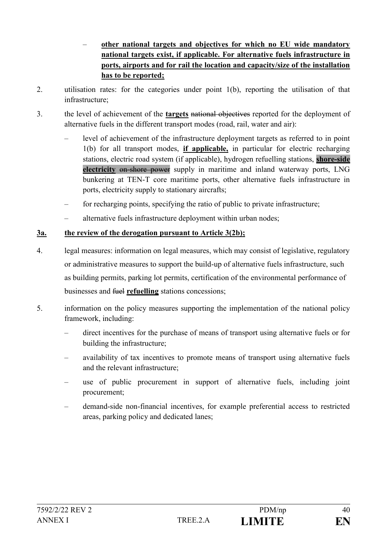- **other national targets and objectives for which no EU wide mandatory national targets exist, if applicable. For alternative fuels infrastructure in ports, airports and for rail the location and capacity/size of the installation has to be reported;**
- 2. utilisation rates: for the categories under point 1(b), reporting the utilisation of that infrastructure;
- 3. the level of achievement of the **targets** national objectives reported for the deployment of alternative fuels in the different transport modes (road, rail, water and air):
	- level of achievement of the infrastructure deployment targets as referred to in point 1(b) for all transport modes, **if applicable,** in particular for electric recharging stations, electric road system (if applicable), hydrogen refuelling stations, **shore-side electricity** on-shore power supply in maritime and inland waterway ports, LNG bunkering at TEN-T core maritime ports, other alternative fuels infrastructure in ports, electricity supply to stationary aircrafts;
	- for recharging points, specifying the ratio of public to private infrastructure;
	- alternative fuels infrastructure deployment within urban nodes;

## **3a. the review of the derogation pursuant to Article 3(2b);**

- 4. legal measures: information on legal measures, which may consist of legislative, regulatory or administrative measures to support the build-up of alternative fuels infrastructure, such as building permits, parking lot permits, certification of the environmental performance of businesses and fuel **refuelling** stations concessions;
- 5. information on the policy measures supporting the implementation of the national policy framework, including:
	- direct incentives for the purchase of means of transport using alternative fuels or for building the infrastructure;
	- availability of tax incentives to promote means of transport using alternative fuels and the relevant infrastructure;
	- use of public procurement in support of alternative fuels, including joint procurement;
	- demand-side non-financial incentives, for example preferential access to restricted areas, parking policy and dedicated lanes;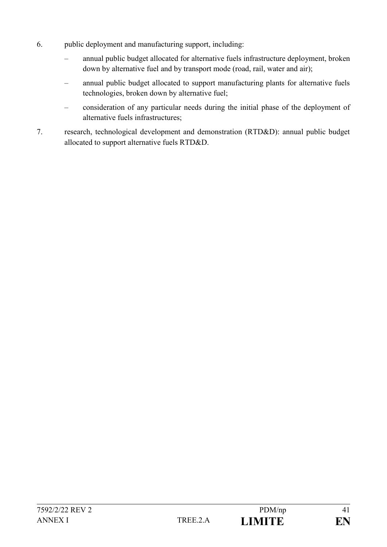- 6. public deployment and manufacturing support, including:
	- annual public budget allocated for alternative fuels infrastructure deployment, broken down by alternative fuel and by transport mode (road, rail, water and air);
	- annual public budget allocated to support manufacturing plants for alternative fuels technologies, broken down by alternative fuel;
	- consideration of any particular needs during the initial phase of the deployment of alternative fuels infrastructures;
- 7. research, technological development and demonstration (RTD&D): annual public budget allocated to support alternative fuels RTD&D.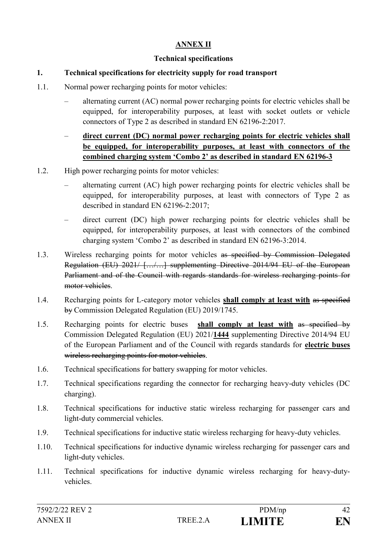#### **ANNEX II**

### **Technical specifications**

### **1. Technical specifications for electricity supply for road transport**

- 1.1. Normal power recharging points for motor vehicles:
	- alternating current (AC) normal power recharging points for electric vehicles shall be equipped, for interoperability purposes, at least with socket outlets or vehicle connectors of Type 2 as described in standard EN 62196-2:2017.
	- **direct current (DC) normal power recharging points for electric vehicles shall be equipped, for interoperability purposes, at least with connectors of the combined charging system 'Combo 2' as described in standard EN 62196-3**
- 1.2. High power recharging points for motor vehicles:
	- alternating current (AC) high power recharging points for electric vehicles shall be equipped, for interoperability purposes, at least with connectors of Type 2 as described in standard EN 62196-2:2017;
	- direct current (DC) high power recharging points for electric vehicles shall be equipped, for interoperability purposes, at least with connectors of the combined charging system 'Combo 2' as described in standard EN 62196-3:2014.
- 1.3. Wireless recharging points for motor vehicles as specified by Commission Delegated Regulation (EU) 2021/ […/…] supplementing Directive 2014/94 EU of the European Parliament and of the Council with regards standards for wireless recharging points for motor vehicles.
- 1.4. Recharging points for L-category motor vehicles **shall comply at least with** as specified by Commission Delegated Regulation (EU) 2019/1745.
- 1.5. Recharging points for electric buses **shall comply at least with** as specified by Commission Delegated Regulation (EU) 2021/**1444** supplementing Directive 2014/94 EU of the European Parliament and of the Council with regards standards for **electric buses** wireless recharging points for motor vehicles.
- 1.6. Technical specifications for battery swapping for motor vehicles.
- 1.7. Technical specifications regarding the connector for recharging heavy-duty vehicles (DC charging).
- 1.8. Technical specifications for inductive static wireless recharging for passenger cars and light-duty commercial vehicles.
- 1.9. Technical specifications for inductive static wireless recharging for heavy-duty vehicles.
- 1.10. Technical specifications for inductive dynamic wireless recharging for passenger cars and light-duty vehicles.
- 1.11. Technical specifications for inductive dynamic wireless recharging for heavy-dutyvehicles.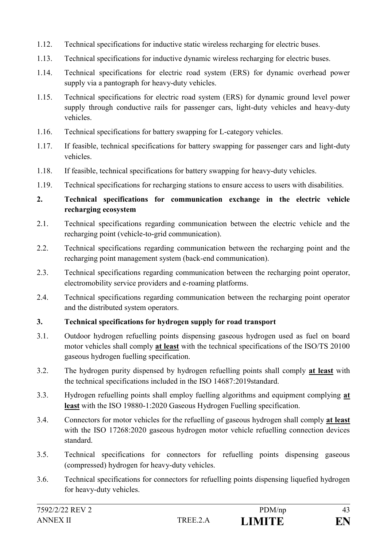- 1.12. Technical specifications for inductive static wireless recharging for electric buses.
- 1.13. Technical specifications for inductive dynamic wireless recharging for electric buses.
- 1.14. Technical specifications for electric road system (ERS) for dynamic overhead power supply via a pantograph for heavy-duty vehicles.
- 1.15. Technical specifications for electric road system (ERS) for dynamic ground level power supply through conductive rails for passenger cars, light-duty vehicles and heavy-duty vehicles.
- 1.16. Technical specifications for battery swapping for L-category vehicles.
- 1.17. If feasible, technical specifications for battery swapping for passenger cars and light-duty vehicles.
- 1.18. If feasible, technical specifications for battery swapping for heavy-duty vehicles.
- 1.19. Technical specifications for recharging stations to ensure access to users with disabilities.

## **2. Technical specifications for communication exchange in the electric vehicle recharging ecosystem**

- 2.1. Technical specifications regarding communication between the electric vehicle and the recharging point (vehicle-to-grid communication).
- 2.2. Technical specifications regarding communication between the recharging point and the recharging point management system (back-end communication).
- 2.3. Technical specifications regarding communication between the recharging point operator, electromobility service providers and e-roaming platforms.
- 2.4. Technical specifications regarding communication between the recharging point operator and the distributed system operators.

### **3. Technical specifications for hydrogen supply for road transport**

- 3.1. Outdoor hydrogen refuelling points dispensing gaseous hydrogen used as fuel on board motor vehicles shall comply **at least** with the technical specifications of the ISO/TS 20100 gaseous hydrogen fuelling specification.
- 3.2. The hydrogen purity dispensed by hydrogen refuelling points shall comply **at least** with the technical specifications included in the ISO 14687:2019standard.
- 3.3. Hydrogen refuelling points shall employ fuelling algorithms and equipment complying **at least** with the ISO 19880-1:2020 Gaseous Hydrogen Fuelling specification.
- 3.4. Connectors for motor vehicles for the refuelling of gaseous hydrogen shall comply **at least** with the ISO 17268:2020 gaseous hydrogen motor vehicle refuelling connection devices standard.
- 3.5. Technical specifications for connectors for refuelling points dispensing gaseous (compressed) hydrogen for heavy-duty vehicles.
- 3.6. Technical specifications for connectors for refuelling points dispensing liquefied hydrogen for heavy-duty vehicles.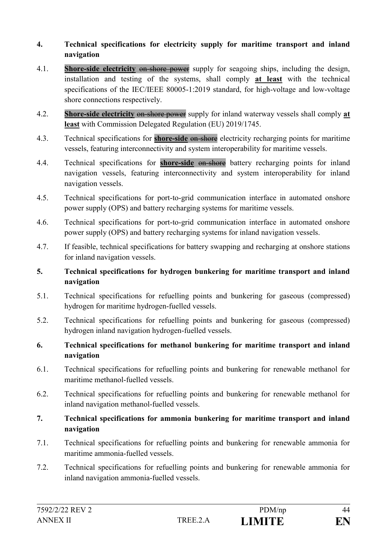### **4. Technical specifications for electricity supply for maritime transport and inland navigation**

- 4.1. **Shore-side electricity** on-shore power supply for seagoing ships, including the design, installation and testing of the systems, shall comply **at least** with the technical specifications of the IEC/IEEE 80005-1:2019 standard, for high-voltage and low-voltage shore connections respectively.
- 4.2. **Shore-side electricity** on-shore power supply for inland waterway vessels shall comply **at least** with Commission Delegated Regulation (EU) 2019/1745.
- 4.3. Technical specifications for **shore-side** on-shore electricity recharging points for maritime vessels, featuring interconnectivity and system interoperability for maritime vessels.
- 4.4. Technical specifications for **shore-side** on-shore battery recharging points for inland navigation vessels, featuring interconnectivity and system interoperability for inland navigation vessels.
- 4.5. Technical specifications for port-to-grid communication interface in automated onshore power supply (OPS) and battery recharging systems for maritime vessels.
- 4.6. Technical specifications for port-to-grid communication interface in automated onshore power supply (OPS) and battery recharging systems for inland navigation vessels.
- 4.7. If feasible, technical specifications for battery swapping and recharging at onshore stations for inland navigation vessels.
- **5. Technical specifications for hydrogen bunkering for maritime transport and inland navigation**
- 5.1. Technical specifications for refuelling points and bunkering for gaseous (compressed) hydrogen for maritime hydrogen-fuelled vessels.
- 5.2. Technical specifications for refuelling points and bunkering for gaseous (compressed) hydrogen inland navigation hydrogen-fuelled vessels.
- **6. Technical specifications for methanol bunkering for maritime transport and inland navigation**
- 6.1. Technical specifications for refuelling points and bunkering for renewable methanol for maritime methanol-fuelled vessels.
- 6.2. Technical specifications for refuelling points and bunkering for renewable methanol for inland navigation methanol-fuelled vessels.
- **7. Technical specifications for ammonia bunkering for maritime transport and inland navigation**
- 7.1. Technical specifications for refuelling points and bunkering for renewable ammonia for maritime ammonia-fuelled vessels.
- 7.2. Technical specifications for refuelling points and bunkering for renewable ammonia for inland navigation ammonia-fuelled vessels.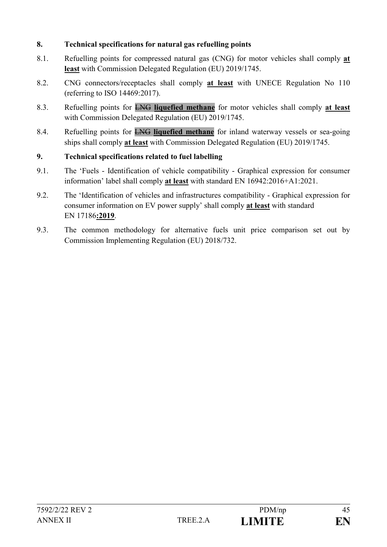### **8. Technical specifications for natural gas refuelling points**

- 8.1. Refuelling points for compressed natural gas (CNG) for motor vehicles shall comply **at least** with Commission Delegated Regulation (EU) 2019/1745.
- 8.2. CNG connectors/receptacles shall comply **at least** with UNECE Regulation No 110 (referring to ISO 14469:2017).
- 8.3. Refuelling points for LNG **liquefied methane** for motor vehicles shall comply **at least** with Commission Delegated Regulation (EU) 2019/1745.
- 8.4. Refuelling points for LNG **liquefied methane** for inland waterway vessels or sea-going ships shall comply **at least** with Commission Delegated Regulation (EU) 2019/1745.

### **9. Technical specifications related to fuel labelling**

- 9.1. The 'Fuels Identification of vehicle compatibility Graphical expression for consumer information' label shall comply **at least** with standard EN 16942:2016+A1:2021.
- 9.2. The 'Identification of vehicles and infrastructures compatibility Graphical expression for consumer information on EV power supply' shall comply **at least** with standard EN 17186**:2019**.
- 9.3. The common methodology for alternative fuels unit price comparison set out by Commission Implementing Regulation (EU) 2018/732.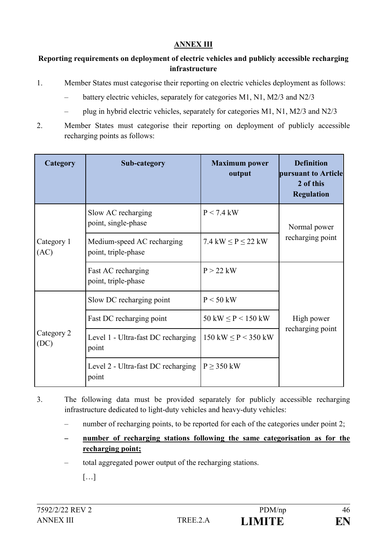#### **ANNEX III**

### **Reporting requirements on deployment of electric vehicles and publicly accessible recharging infrastructure**

- 1. Member States must categorise their reporting on electric vehicles deployment as follows:
	- battery electric vehicles, separately for categories M1, N1, M2/3 and N2/3
	- plug in hybrid electric vehicles, separately for categories M1, N1, M2/3 and N2/3
- 2. Member States must categorise their reporting on deployment of publicly accessible recharging points as follows:

| Category           | Sub-category                                      | <b>Maximum</b> power<br>output           | <b>Definition</b><br>pursuant to Article<br>2 of this<br><b>Regulation</b> |
|--------------------|---------------------------------------------------|------------------------------------------|----------------------------------------------------------------------------|
| Category 1<br>(AC) | Slow AC recharging<br>point, single-phase         | $P < 7.4$ kW                             | Normal power<br>recharging point                                           |
|                    | Medium-speed AC recharging<br>point, triple-phase | 7.4 kW $\leq$ P $\leq$ 22 kW             |                                                                            |
|                    | Fast AC recharging<br>point, triple-phase         | $P > 22$ kW                              |                                                                            |
| Category 2<br>(DC) | Slow DC recharging point                          | $P < 50$ kW                              |                                                                            |
|                    | Fast DC recharging point                          | $50 \text{ kW} \leq P < 150 \text{ kW}$  | High power<br>recharging point                                             |
|                    | Level 1 - Ultra-fast DC recharging<br>point       | $150 \text{ kW} \leq P < 350 \text{ kW}$ |                                                                            |
|                    | Level 2 - Ultra-fast DC recharging<br>point       | $P \geq 350$ kW                          |                                                                            |

- 3. The following data must be provided separately for publicly accessible recharging infrastructure dedicated to light-duty vehicles and heavy-duty vehicles:
	- number of recharging points, to be reported for each of the categories under point 2;
	- **number of recharging stations following the same categorisation as for the recharging point;**
	- total aggregated power output of the recharging stations.
		- […]